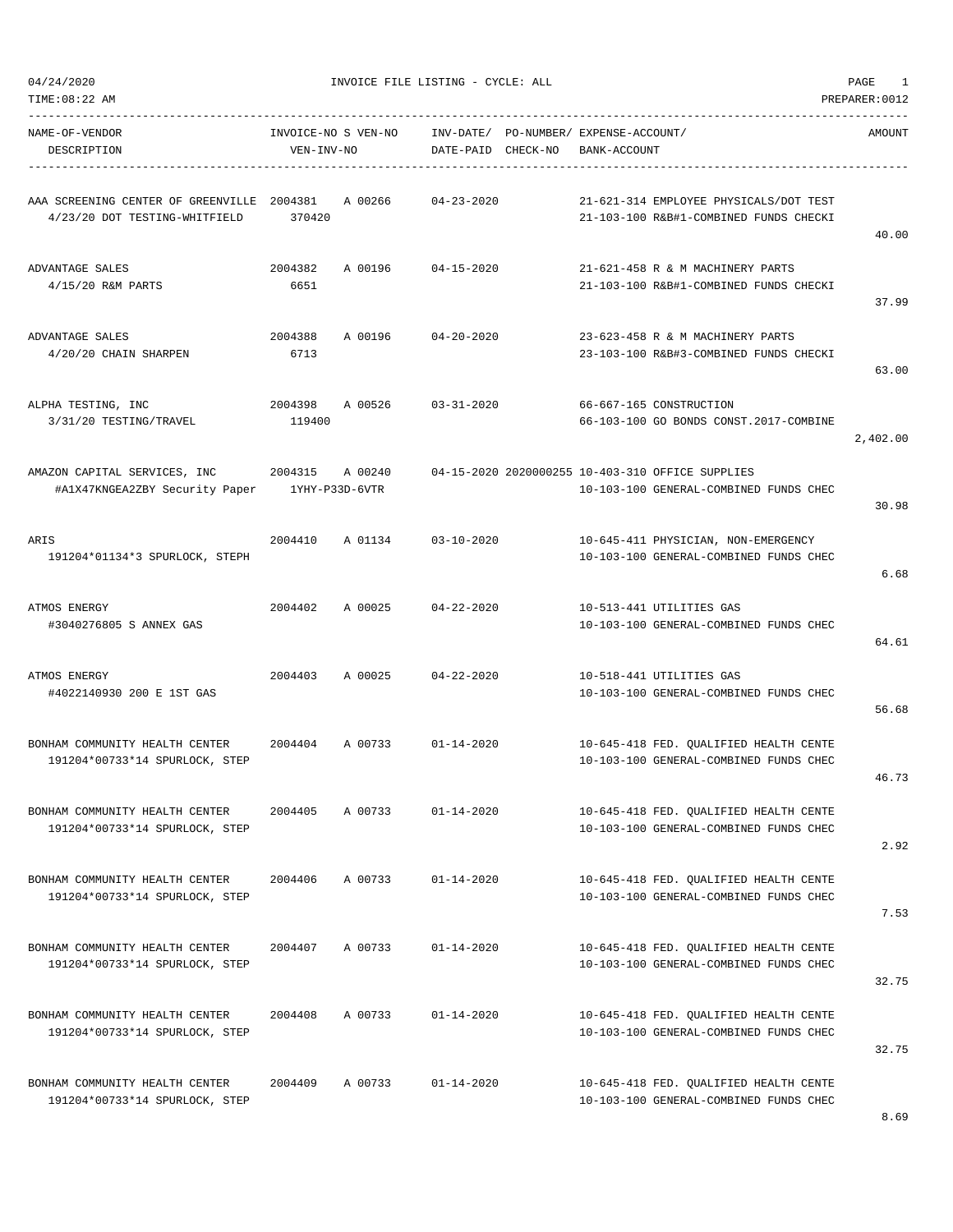| 04/24/2020 |
|------------|
|            |

| NAME-OF-VENDOR<br>DESCRIPTION                                                 | INVOICE-NO S VEN-NO<br>VEN-INV-NO |         | DATE-PAID CHECK-NO | INV-DATE/ PO-NUMBER/ EXPENSE-ACCOUNT/<br>BANK-ACCOUNT                                      | AMOUNT   |
|-------------------------------------------------------------------------------|-----------------------------------|---------|--------------------|--------------------------------------------------------------------------------------------|----------|
| AAA SCREENING CENTER OF GREENVILLE 2004381<br>4/23/20 DOT TESTING-WHITFIELD   | 370420                            | A 00266 | $04 - 23 - 2020$   | 21-621-314 EMPLOYEE PHYSICALS/DOT TEST<br>21-103-100 R&B#1-COMBINED FUNDS CHECKI           | 40.00    |
| ADVANTAGE SALES<br>4/15/20 R&M PARTS                                          | 2004382<br>6651                   | A 00196 | $04 - 15 - 2020$   | 21-621-458 R & M MACHINERY PARTS<br>21-103-100 R&B#1-COMBINED FUNDS CHECKI                 | 37.99    |
| ADVANTAGE SALES<br>4/20/20 CHAIN SHARPEN                                      | 2004388<br>6713                   | A 00196 | $04 - 20 - 2020$   | 23-623-458 R & M MACHINERY PARTS<br>23-103-100 R&B#3-COMBINED FUNDS CHECKI                 | 63.00    |
| ALPHA TESTING, INC<br>3/31/20 TESTING/TRAVEL                                  | 2004398<br>119400                 | A 00526 | $03 - 31 - 2020$   | 66-667-165 CONSTRUCTION<br>66-103-100 GO BONDS CONST. 2017-COMBINE                         | 2,402.00 |
| AMAZON CAPITAL SERVICES, INC<br>#A1X47KNGEA2ZBY Security Paper 1YHY-P33D-6VTR | 2004315 A 00240                   |         |                    | 04-15-2020 2020000255 10-403-310 OFFICE SUPPLIES<br>10-103-100 GENERAL-COMBINED FUNDS CHEC | 30.98    |
| ARIS<br>191204*01134*3 SPURLOCK, STEPH                                        | 2004410                           | A 01134 | $03 - 10 - 2020$   | 10-645-411 PHYSICIAN, NON-EMERGENCY<br>10-103-100 GENERAL-COMBINED FUNDS CHEC              | 6.68     |
| ATMOS ENERGY<br>#3040276805 S ANNEX GAS                                       | 2004402 A 00025                   |         | 04-22-2020         | 10-513-441 UTILITIES GAS<br>10-103-100 GENERAL-COMBINED FUNDS CHEC                         | 64.61    |
| ATMOS ENERGY<br>#4022140930 200 E 1ST GAS                                     | 2004403 A 00025                   |         | $04 - 22 - 2020$   | 10-518-441 UTILITIES GAS<br>10-103-100 GENERAL-COMBINED FUNDS CHEC                         | 56.68    |
| BONHAM COMMUNITY HEALTH CENTER<br>191204*00733*14 SPURLOCK, STEP              | 2004404                           | A 00733 | $01 - 14 - 2020$   | 10-645-418 FED. OUALIFIED HEALTH CENTE<br>10-103-100 GENERAL-COMBINED FUNDS CHEC           | 46.73    |
| BONHAM COMMUNITY HEALTH CENTER<br>191204*00733*14 SPURLOCK, STEP              | 2004405                           | A 00733 | $01 - 14 - 2020$   | 10-645-418 FED. QUALIFIED HEALTH CENTE<br>10-103-100 GENERAL-COMBINED FUNDS CHEC           | 2.92     |
| BONHAM COMMUNITY HEALTH CENTER<br>191204*00733*14 SPURLOCK, STEP              | 2004406                           | A 00733 | $01 - 14 - 2020$   | 10-645-418 FED. QUALIFIED HEALTH CENTE<br>10-103-100 GENERAL-COMBINED FUNDS CHEC           | 7.53     |
| BONHAM COMMUNITY HEALTH CENTER<br>191204*00733*14 SPURLOCK, STEP              | 2004407                           | A 00733 | $01 - 14 - 2020$   | 10-645-418 FED. OUALIFIED HEALTH CENTE<br>10-103-100 GENERAL-COMBINED FUNDS CHEC           | 32.75    |
| BONHAM COMMUNITY HEALTH CENTER<br>191204*00733*14 SPURLOCK, STEP              | 2004408                           | A 00733 | $01 - 14 - 2020$   | 10-645-418 FED. QUALIFIED HEALTH CENTE<br>10-103-100 GENERAL-COMBINED FUNDS CHEC           | 32.75    |
| BONHAM COMMUNITY HEALTH CENTER<br>191204*00733*14 SPURLOCK, STEP              | 2004409                           | A 00733 | $01 - 14 - 2020$   | 10-645-418 FED. QUALIFIED HEALTH CENTE<br>10-103-100 GENERAL-COMBINED FUNDS CHEC           |          |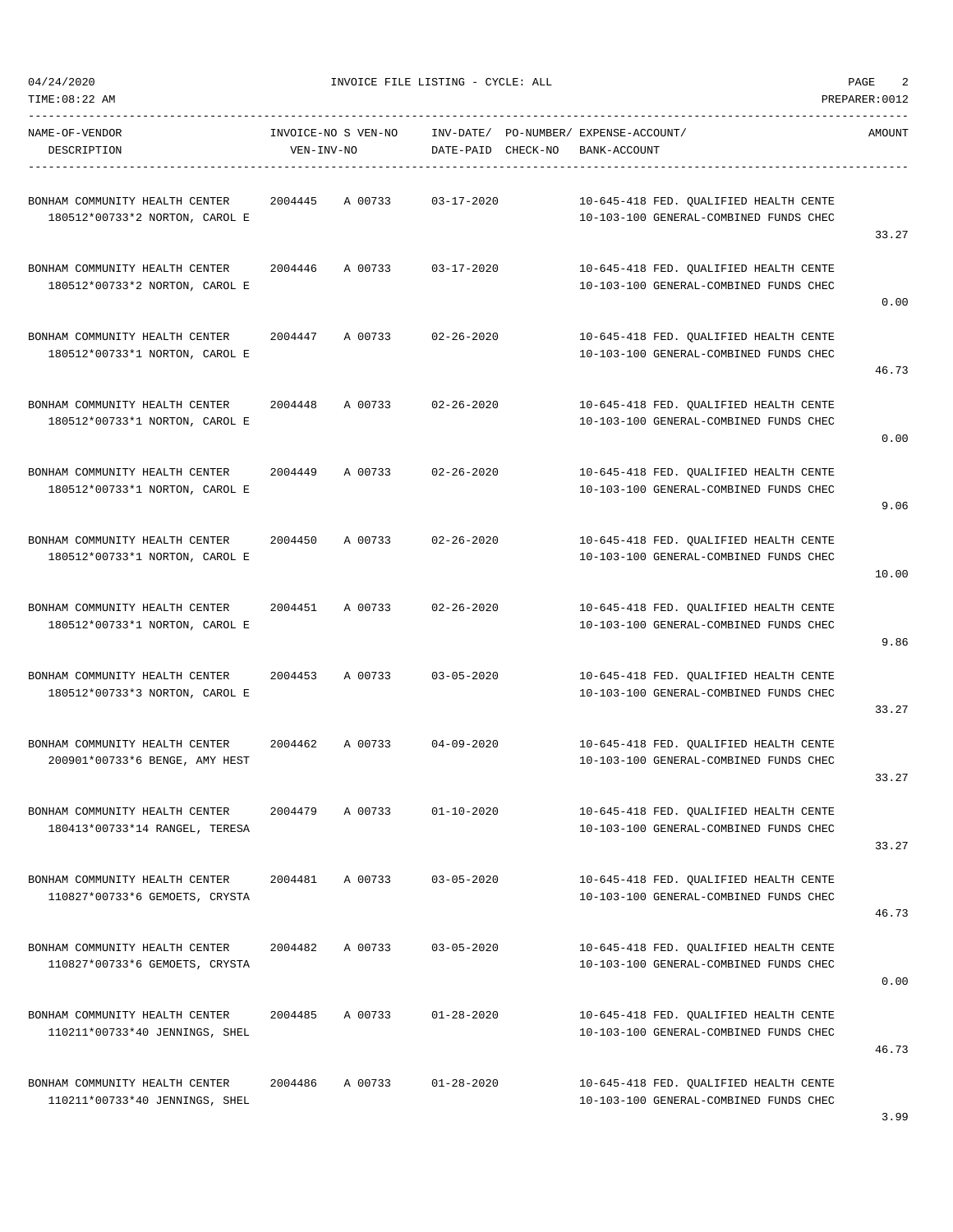04/24/2020 INVOICE FILE LISTING - CYCLE: ALL PAGE 2

-----------------------------------------------------------------------------------------------------------------------------------

| NAME-OF-VENDOR<br>DESCRIPTION                                    | VEN-INV-NO | INVOICE-NO S VEN-NO | DATE-PAID CHECK-NO | ------------------------- | INV-DATE/ PO-NUMBER/ EXPENSE-ACCOUNT/<br>BANK-ACCOUNT                            | <b>AMOUNT</b> |
|------------------------------------------------------------------|------------|---------------------|--------------------|---------------------------|----------------------------------------------------------------------------------|---------------|
| BONHAM COMMUNITY HEALTH CENTER<br>180512*00733*2 NORTON, CAROL E | 2004445    | A 00733             | $03 - 17 - 2020$   |                           | 10-645-418 FED. QUALIFIED HEALTH CENTE<br>10-103-100 GENERAL-COMBINED FUNDS CHEC | 33.27         |
| BONHAM COMMUNITY HEALTH CENTER<br>180512*00733*2 NORTON, CAROL E | 2004446    | A 00733             | $03 - 17 - 2020$   |                           | 10-645-418 FED. QUALIFIED HEALTH CENTE<br>10-103-100 GENERAL-COMBINED FUNDS CHEC | 0.00          |
| BONHAM COMMUNITY HEALTH CENTER<br>180512*00733*1 NORTON, CAROL E | 2004447    | A 00733             | $02 - 26 - 2020$   |                           | 10-645-418 FED. QUALIFIED HEALTH CENTE<br>10-103-100 GENERAL-COMBINED FUNDS CHEC | 46.73         |
| BONHAM COMMUNITY HEALTH CENTER<br>180512*00733*1 NORTON, CAROL E | 2004448    | A 00733             | $02 - 26 - 2020$   |                           | 10-645-418 FED. QUALIFIED HEALTH CENTE<br>10-103-100 GENERAL-COMBINED FUNDS CHEC | 0.00          |
| BONHAM COMMUNITY HEALTH CENTER<br>180512*00733*1 NORTON, CAROL E | 2004449    | A 00733             | $02 - 26 - 2020$   |                           | 10-645-418 FED. QUALIFIED HEALTH CENTE<br>10-103-100 GENERAL-COMBINED FUNDS CHEC | 9.06          |
| BONHAM COMMUNITY HEALTH CENTER<br>180512*00733*1 NORTON, CAROL E | 2004450    | A 00733             | $02 - 26 - 2020$   |                           | 10-645-418 FED. OUALIFIED HEALTH CENTE<br>10-103-100 GENERAL-COMBINED FUNDS CHEC | 10.00         |
| BONHAM COMMUNITY HEALTH CENTER<br>180512*00733*1 NORTON, CAROL E | 2004451    | A 00733             | $02 - 26 - 2020$   |                           | 10-645-418 FED. QUALIFIED HEALTH CENTE<br>10-103-100 GENERAL-COMBINED FUNDS CHEC | 9.86          |
| BONHAM COMMUNITY HEALTH CENTER<br>180512*00733*3 NORTON, CAROL E | 2004453    | A 00733             | $03 - 05 - 2020$   |                           | 10-645-418 FED. QUALIFIED HEALTH CENTE<br>10-103-100 GENERAL-COMBINED FUNDS CHEC | 33.27         |
| BONHAM COMMUNITY HEALTH CENTER<br>200901*00733*6 BENGE, AMY HEST | 2004462    | A 00733             | $04 - 09 - 2020$   |                           | 10-645-418 FED. OUALIFIED HEALTH CENTE<br>10-103-100 GENERAL-COMBINED FUNDS CHEC | 33.27         |
| BONHAM COMMUNITY HEALTH CENTER<br>180413*00733*14 RANGEL, TERESA | 2004479    | A 00733             | $01 - 10 - 2020$   |                           | 10-645-418 FED. QUALIFIED HEALTH CENTE<br>10-103-100 GENERAL-COMBINED FUNDS CHEC | 33.27         |
| BONHAM COMMUNITY HEALTH CENTER<br>110827*00733*6 GEMOETS, CRYSTA | 2004481    | A 00733             | $03 - 05 - 2020$   |                           | 10-645-418 FED. QUALIFIED HEALTH CENTE<br>10-103-100 GENERAL-COMBINED FUNDS CHEC | 46.73         |
| BONHAM COMMUNITY HEALTH CENTER<br>110827*00733*6 GEMOETS, CRYSTA | 2004482    | A 00733             | $03 - 05 - 2020$   |                           | 10-645-418 FED. QUALIFIED HEALTH CENTE<br>10-103-100 GENERAL-COMBINED FUNDS CHEC | 0.00          |
| BONHAM COMMUNITY HEALTH CENTER<br>110211*00733*40 JENNINGS, SHEL | 2004485    | A 00733             | $01 - 28 - 2020$   |                           | 10-645-418 FED. QUALIFIED HEALTH CENTE<br>10-103-100 GENERAL-COMBINED FUNDS CHEC | 46.73         |
| BONHAM COMMUNITY HEALTH CENTER<br>110211*00733*40 JENNINGS, SHEL | 2004486    | A 00733             | $01 - 28 - 2020$   |                           | 10-645-418 FED. QUALIFIED HEALTH CENTE<br>10-103-100 GENERAL-COMBINED FUNDS CHEC | 3.99          |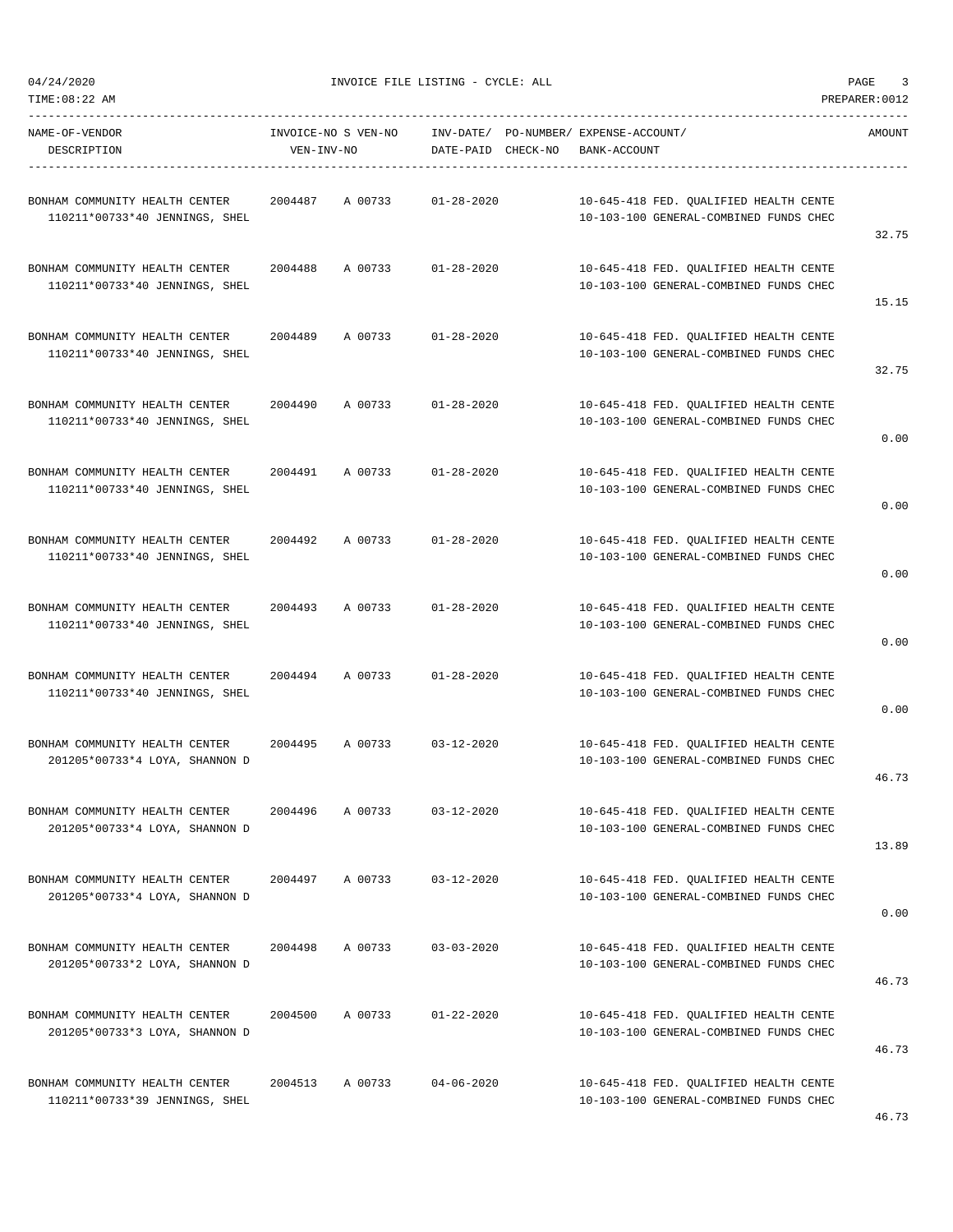04/24/2020 INVOICE FILE LISTING - CYCLE: ALL PAGE 3

-----------------------------------------------------------------------------------------------------------------------------------

NAME-OF-VENDOR INVOICE-NO S VEN-NO INV-DATE/ PO-NUMBER/ EXPENSE-ACCOUNT/ AMOUNT DESCRIPTION VEN-INV-NO DATE-PAID CHECK-NO BANK-ACCOUNT ----------------------------------------------------------------------------------------------------------------------------------- BONHAM COMMUNITY HEALTH CENTER 2004487 A 00733 01-28-2020 10-645-418 FED. QUALIFIED HEALTH CENTE 110211\*00733\*40 JENNINGS, SHEL 10-103-100 GENERAL-COMBINED FUNDS CHEC 32.75 BONHAM COMMUNITY HEALTH CENTER 2004488 A 00733 01-28-2020 10-645-418 FED. QUALIFIED HEALTH CENTE 110211\*00733\*40 JENNINGS, SHEL 10-103-100 GENERAL-COMBINED FUNDS CHEC 15.15 BONHAM COMMUNITY HEALTH CENTER 2004489 A 00733 01-28-2020 10-645-418 FED. QUALIFIED HEALTH CENTE  $10211*00733*40\text{ JENNINGS}\,,\quad \text{SHEL}\qquad \qquad 10-103-100\text{ GENERAL-COMBINDER}\,\, \text{FUNDS } \text{CHEC}$ 32.75 BONHAM COMMUNITY HEALTH CENTER 2004490 A 00733 01-28-2020 10-645-418 FED. QUALIFIED HEALTH CENTE 110211\*00733\*40 JENNINGS, SHEL 10-103-100 GENERAL-COMBINED FUNDS CHEC 0.00 BONHAM COMMUNITY HEALTH CENTER 2004491 A 00733 01-28-2020 10-645-418 FED. QUALIFIED HEALTH CENTE  $110211*00733*40\text{ JENNINGS}\,,\text{ SHEL} \\ 10211*00733*40\text{ JENNINGS}\,,\text{SHEL}$ 0.00 BONHAM COMMUNITY HEALTH CENTER 2004492 A 00733 01-28-2020 10-645-418 FED. QUALIFIED HEALTH CENTE  $10211*00733*40\text{ JENNINGS}\,,\text{ SHEL} \\ 10211*00733*40\text{ JENNINGS}\,,\text{SHEL}$ 0.00 BONHAM COMMUNITY HEALTH CENTER 2004493 A 00733 01-28-2020 10-645-418 FED. QUALIFIED HEALTH CENTE  $110211*00733*40\text{ JENNINGS}\,,\text{ SHEL} \\ 10-103-100\text{ GENERAL-COMBINDER}\,,\text{VINDS} \text{ CHEC}$ 0.00 BONHAM COMMUNITY HEALTH CENTER 2004494 A 00733 01-28-2020 10-645-418 FED. QUALIFIED HEALTH CENTE  $10211*00733*40\text{ JENNINGS}\,,\text{ SHEL} \\ 10211*00733*40\text{ JENNINGS}\,,\text{SHEL}$ 0.00 BONHAM COMMUNITY HEALTH CENTER 2004495 A 00733 03-12-2020 10-645-418 FED. QUALIFIED HEALTH CENTE 201205\*00733\*4 LOYA, SHANNON D 10-103-100 GENERAL-COMBINED FUNDS CHEC 46.73 BONHAM COMMUNITY HEALTH CENTER 2004496 A 00733 03-12-2020 10-645-418 FED. QUALIFIED HEALTH CENTE 201205\*00733\*4 LOYA, SHANNON D 10-103-100 GENERAL-COMBINED FUNDS CHEC 13.89 BONHAM COMMUNITY HEALTH CENTER 2004497 A 00733 03-12-2020 10-645-418 FED. QUALIFIED HEALTH CENTE 201205\*00733\*4 LOYA, SHANNON D 10-103-100 GENERAL-COMBINED FUNDS CHEC 0.00 BONHAM COMMUNITY HEALTH CENTER 2004498 A 00733 03-03-2020 10-645-418 FED. QUALIFIED HEALTH CENTE 201205\*00733\*2 LOYA, SHANNON D 10-103-100 GENERAL-COMBINED FUNDS CHEC 46.73 BONHAM COMMUNITY HEALTH CENTER 2004500 A 00733 01-22-2020 10-645-418 FED. QUALIFIED HEALTH CENTE 201205\*00733\*3 LOYA, SHANNON D 10-103-100 GENERAL-COMBINED FUNDS CHEC 46.73 BONHAM COMMUNITY HEALTH CENTER 2004513 A 00733 04-06-2020 10-645-418 FED. QUALIFIED HEALTH CENTE 110211\*00733\*39 JENNINGS, SHEL 10-103-100 GENERAL-COMBINED FUNDS CHEC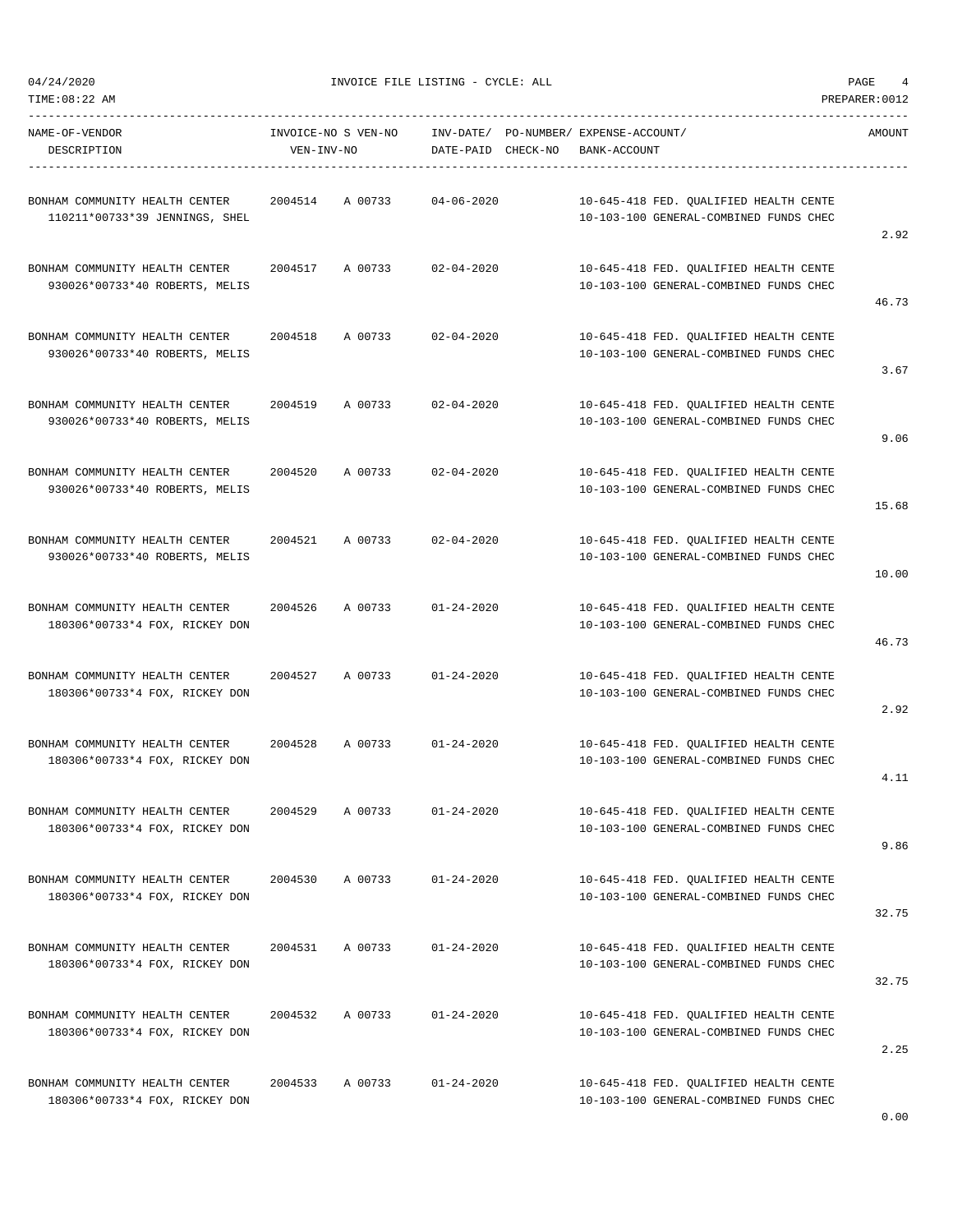04/24/2020 INVOICE FILE LISTING - CYCLE: ALL PAGE 4

| NAME-OF-VENDOR<br>DESCRIPTION                                    | VEN-INV-NO      | INVOICE-NO S VEN-NO | DATE-PAID CHECK-NO | INV-DATE/ PO-NUMBER/ EXPENSE-ACCOUNT/<br>BANK-ACCOUNT                            | AMOUNT |
|------------------------------------------------------------------|-----------------|---------------------|--------------------|----------------------------------------------------------------------------------|--------|
| BONHAM COMMUNITY HEALTH CENTER<br>110211*00733*39 JENNINGS, SHEL | 2004514 A 00733 |                     | $04 - 06 - 2020$   | 10-645-418 FED. QUALIFIED HEALTH CENTE<br>10-103-100 GENERAL-COMBINED FUNDS CHEC | 2.92   |
| BONHAM COMMUNITY HEALTH CENTER<br>930026*00733*40 ROBERTS, MELIS | 2004517 A 00733 |                     | $02 - 04 - 2020$   | 10-645-418 FED. QUALIFIED HEALTH CENTE<br>10-103-100 GENERAL-COMBINED FUNDS CHEC | 46.73  |
| BONHAM COMMUNITY HEALTH CENTER<br>930026*00733*40 ROBERTS, MELIS | 2004518         | A 00733             | $02 - 04 - 2020$   | 10-645-418 FED. QUALIFIED HEALTH CENTE<br>10-103-100 GENERAL-COMBINED FUNDS CHEC | 3.67   |
| BONHAM COMMUNITY HEALTH CENTER<br>930026*00733*40 ROBERTS, MELIS | 2004519         | A 00733             | $02 - 04 - 2020$   | 10-645-418 FED. QUALIFIED HEALTH CENTE<br>10-103-100 GENERAL-COMBINED FUNDS CHEC | 9.06   |
| BONHAM COMMUNITY HEALTH CENTER<br>930026*00733*40 ROBERTS, MELIS | 2004520         | A 00733             | $02 - 04 - 2020$   | 10-645-418 FED. QUALIFIED HEALTH CENTE<br>10-103-100 GENERAL-COMBINED FUNDS CHEC | 15.68  |
| BONHAM COMMUNITY HEALTH CENTER<br>930026*00733*40 ROBERTS, MELIS | 2004521         | A 00733             | $02 - 04 - 2020$   | 10-645-418 FED. OUALIFIED HEALTH CENTE<br>10-103-100 GENERAL-COMBINED FUNDS CHEC | 10.00  |
| BONHAM COMMUNITY HEALTH CENTER<br>180306*00733*4 FOX, RICKEY DON | 2004526         | A 00733             | $01 - 24 - 2020$   | 10-645-418 FED. QUALIFIED HEALTH CENTE<br>10-103-100 GENERAL-COMBINED FUNDS CHEC | 46.73  |
| BONHAM COMMUNITY HEALTH CENTER<br>180306*00733*4 FOX, RICKEY DON | 2004527         | A 00733             | $01 - 24 - 2020$   | 10-645-418 FED. QUALIFIED HEALTH CENTE<br>10-103-100 GENERAL-COMBINED FUNDS CHEC | 2.92   |
| BONHAM COMMUNITY HEALTH CENTER<br>180306*00733*4 FOX, RICKEY DON | 2004528 A 00733 |                     | $01 - 24 - 2020$   | 10-645-418 FED. QUALIFIED HEALTH CENTE<br>10-103-100 GENERAL-COMBINED FUNDS CHEC | 4.11   |
| BONHAM COMMUNITY HEALTH CENTER<br>180306*00733*4 FOX, RICKEY DON |                 | 2004529 A 00733     | $01 - 24 - 2020$   | 10-645-418 FED. QUALIFIED HEALTH CENTE<br>10-103-100 GENERAL-COMBINED FUNDS CHEC | 9.86   |
| BONHAM COMMUNITY HEALTH CENTER<br>180306*00733*4 FOX, RICKEY DON | 2004530 A 00733 |                     | $01 - 24 - 2020$   | 10-645-418 FED. QUALIFIED HEALTH CENTE<br>10-103-100 GENERAL-COMBINED FUNDS CHEC | 32.75  |
| BONHAM COMMUNITY HEALTH CENTER<br>180306*00733*4 FOX, RICKEY DON | 2004531         | A 00733             | $01 - 24 - 2020$   | 10-645-418 FED. QUALIFIED HEALTH CENTE<br>10-103-100 GENERAL-COMBINED FUNDS CHEC | 32.75  |
| BONHAM COMMUNITY HEALTH CENTER<br>180306*00733*4 FOX, RICKEY DON | 2004532         | A 00733             | $01 - 24 - 2020$   | 10-645-418 FED. QUALIFIED HEALTH CENTE<br>10-103-100 GENERAL-COMBINED FUNDS CHEC | 2.25   |
| BONHAM COMMUNITY HEALTH CENTER<br>180306*00733*4 FOX, RICKEY DON | 2004533 A 00733 |                     | $01 - 24 - 2020$   | 10-645-418 FED. QUALIFIED HEALTH CENTE<br>10-103-100 GENERAL-COMBINED FUNDS CHEC |        |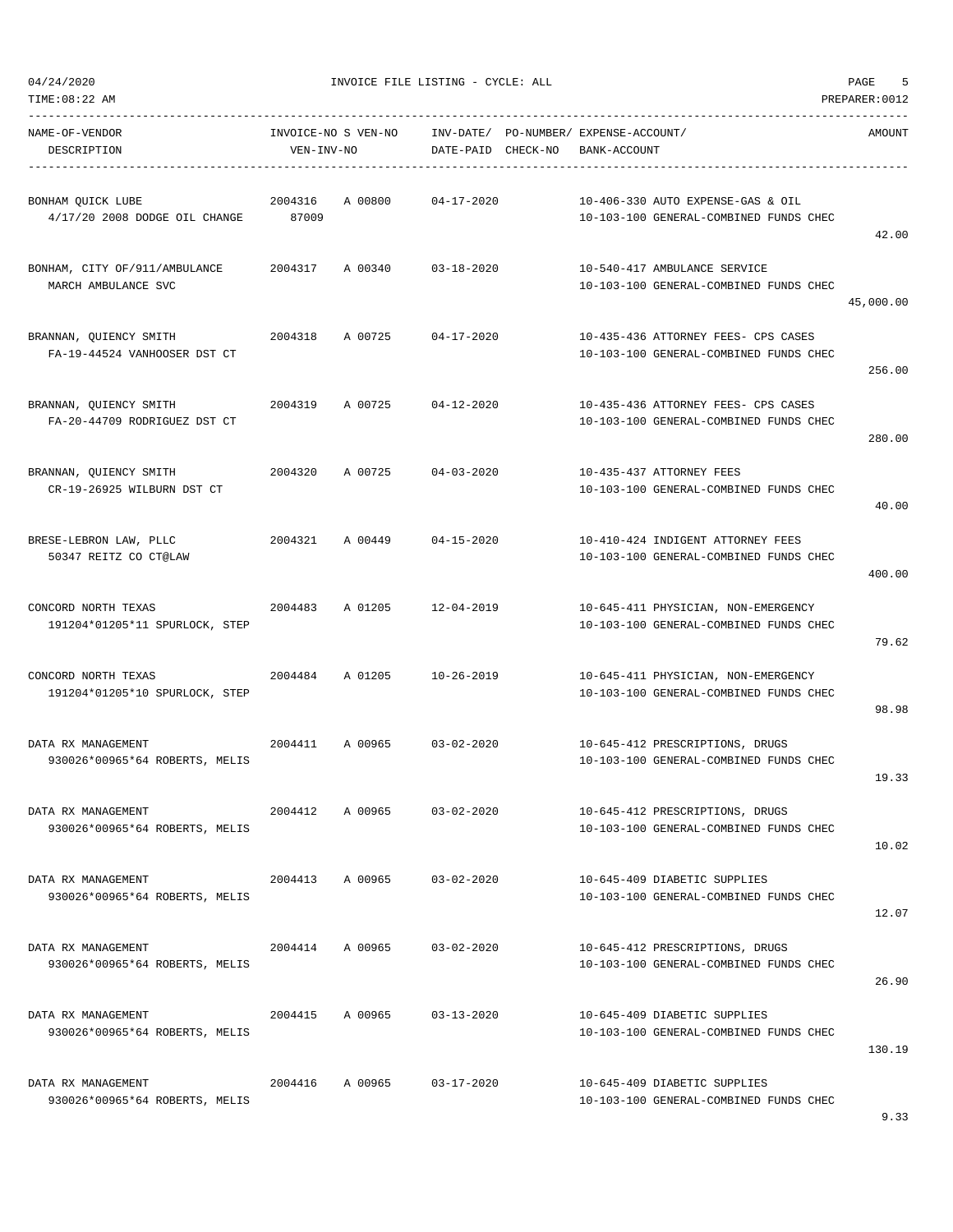| TIME: 08:22 AM                                         |                  |                     |                                 |                                                                               | PREPARER: 0012 |
|--------------------------------------------------------|------------------|---------------------|---------------------------------|-------------------------------------------------------------------------------|----------------|
| NAME-OF-VENDOR<br>DESCRIPTION                          | VEN-INV-NO       | INVOICE-NO S VEN-NO | INV-DATE/<br>DATE-PAID CHECK-NO | PO-NUMBER/ EXPENSE-ACCOUNT/<br>BANK-ACCOUNT                                   | AMOUNT         |
| BONHAM QUICK LUBE<br>4/17/20 2008 DODGE OIL CHANGE     | 2004316<br>87009 | A 00800             | $04 - 17 - 2020$                | 10-406-330 AUTO EXPENSE-GAS & OIL<br>10-103-100 GENERAL-COMBINED FUNDS CHEC   | 42.00          |
| BONHAM, CITY OF/911/AMBULANCE<br>MARCH AMBULANCE SVC   | 2004317          | A 00340             | $03 - 18 - 2020$                | 10-540-417 AMBULANCE SERVICE<br>10-103-100 GENERAL-COMBINED FUNDS CHEC        | 45,000.00      |
| BRANNAN, QUIENCY SMITH<br>FA-19-44524 VANHOOSER DST CT | 2004318          | A 00725             | $04 - 17 - 2020$                | 10-435-436 ATTORNEY FEES- CPS CASES<br>10-103-100 GENERAL-COMBINED FUNDS CHEC | 256.00         |
| BRANNAN, QUIENCY SMITH<br>FA-20-44709 RODRIGUEZ DST CT | 2004319          | A 00725             | $04 - 12 - 2020$                | 10-435-436 ATTORNEY FEES- CPS CASES<br>10-103-100 GENERAL-COMBINED FUNDS CHEC | 280.00         |
| BRANNAN, QUIENCY SMITH<br>CR-19-26925 WILBURN DST CT   | 2004320          | A 00725             | $04 - 03 - 2020$                | 10-435-437 ATTORNEY FEES<br>10-103-100 GENERAL-COMBINED FUNDS CHEC            | 40.00          |
| BRESE-LEBRON LAW, PLLC<br>50347 REITZ CO CT@LAW        | 2004321          | A 00449             | $04 - 15 - 2020$                | 10-410-424 INDIGENT ATTORNEY FEES<br>10-103-100 GENERAL-COMBINED FUNDS CHEC   | 400.00         |
| CONCORD NORTH TEXAS<br>191204*01205*11 SPURLOCK, STEP  | 2004483          | A 01205             | $12 - 04 - 2019$                | 10-645-411 PHYSICIAN, NON-EMERGENCY<br>10-103-100 GENERAL-COMBINED FUNDS CHEC | 79.62          |
| CONCORD NORTH TEXAS<br>191204*01205*10 SPURLOCK, STEP  | 2004484          | A 01205             | $10 - 26 - 2019$                | 10-645-411 PHYSICIAN, NON-EMERGENCY<br>10-103-100 GENERAL-COMBINED FUNDS CHEC | 98.98          |
| DATA RX MANAGEMENT<br>930026*00965*64 ROBERTS, MELIS   | 2004411          | A 00965             | $03 - 02 - 2020$                | 10-645-412 PRESCRIPTIONS, DRUGS<br>10-103-100 GENERAL-COMBINED FUNDS CHEC     | 19.33          |
| DATA RX MANAGEMENT<br>930026*00965*64 ROBERTS, MELIS   | 2004412          | A 00965             | $03 - 02 - 2020$                | 10-645-412 PRESCRIPTIONS, DRUGS<br>10-103-100 GENERAL-COMBINED FUNDS CHEC     | 10.02          |
| DATA RX MANAGEMENT<br>930026*00965*64 ROBERTS, MELIS   | 2004413          | A 00965             | $03 - 02 - 2020$                | 10-645-409 DIABETIC SUPPLIES<br>10-103-100 GENERAL-COMBINED FUNDS CHEC        | 12.07          |
| DATA RX MANAGEMENT<br>930026*00965*64 ROBERTS, MELIS   | 2004414          | A 00965             | $03 - 02 - 2020$                | 10-645-412 PRESCRIPTIONS, DRUGS<br>10-103-100 GENERAL-COMBINED FUNDS CHEC     | 26.90          |
| DATA RX MANAGEMENT<br>930026*00965*64 ROBERTS, MELIS   | 2004415          | A 00965             | $03 - 13 - 2020$                | 10-645-409 DIABETIC SUPPLIES<br>10-103-100 GENERAL-COMBINED FUNDS CHEC        | 130.19         |
| DATA RX MANAGEMENT<br>930026*00965*64 ROBERTS, MELIS   | 2004416          | A 00965             | $03 - 17 - 2020$                | 10-645-409 DIABETIC SUPPLIES<br>10-103-100 GENERAL-COMBINED FUNDS CHEC        |                |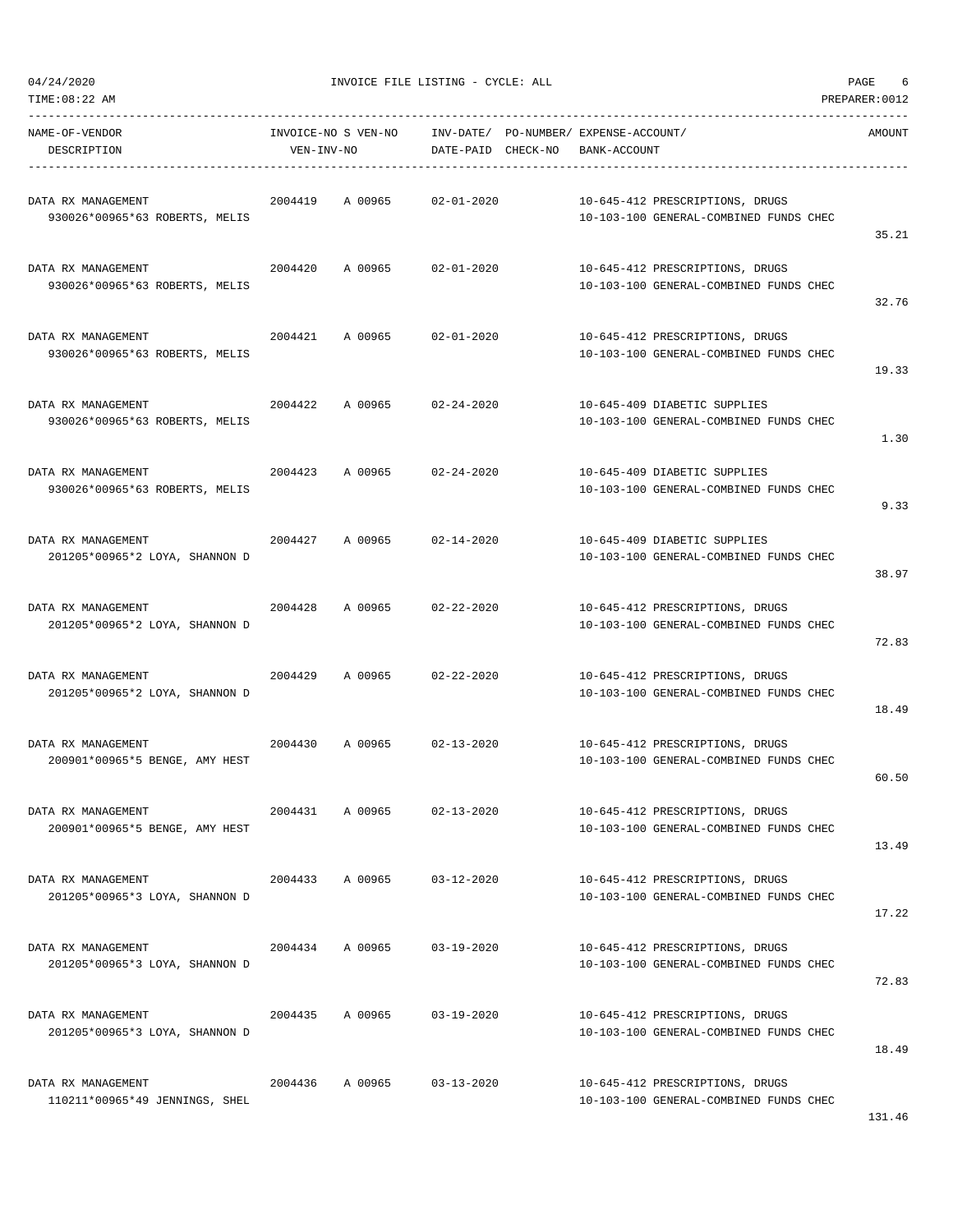| TIME: 08:22 AM                                       |            |                     |                                 |                                                                           | PREPARER: 0012 |
|------------------------------------------------------|------------|---------------------|---------------------------------|---------------------------------------------------------------------------|----------------|
| NAME-OF-VENDOR<br>DESCRIPTION                        | VEN-INV-NO | INVOICE-NO S VEN-NO | INV-DATE/<br>DATE-PAID CHECK-NO | PO-NUMBER/ EXPENSE-ACCOUNT/<br>BANK-ACCOUNT                               | AMOUNT         |
| DATA RX MANAGEMENT<br>930026*00965*63 ROBERTS, MELIS | 2004419    | A 00965             | $02 - 01 - 2020$                | 10-645-412 PRESCRIPTIONS, DRUGS<br>10-103-100 GENERAL-COMBINED FUNDS CHEC | 35.21          |
| DATA RX MANAGEMENT<br>930026*00965*63 ROBERTS, MELIS | 2004420    | A 00965             | $02 - 01 - 2020$                | 10-645-412 PRESCRIPTIONS, DRUGS<br>10-103-100 GENERAL-COMBINED FUNDS CHEC | 32.76          |
| DATA RX MANAGEMENT<br>930026*00965*63 ROBERTS, MELIS | 2004421    | A 00965             | $02 - 01 - 2020$                | 10-645-412 PRESCRIPTIONS, DRUGS<br>10-103-100 GENERAL-COMBINED FUNDS CHEC | 19.33          |
| DATA RX MANAGEMENT<br>930026*00965*63 ROBERTS, MELIS | 2004422    | A 00965             | $02 - 24 - 2020$                | 10-645-409 DIABETIC SUPPLIES<br>10-103-100 GENERAL-COMBINED FUNDS CHEC    | 1.30           |
| DATA RX MANAGEMENT<br>930026*00965*63 ROBERTS, MELIS | 2004423    | A 00965             | $02 - 24 - 2020$                | 10-645-409 DIABETIC SUPPLIES<br>10-103-100 GENERAL-COMBINED FUNDS CHEC    | 9.33           |
| DATA RX MANAGEMENT<br>201205*00965*2 LOYA, SHANNON D | 2004427    | A 00965             | $02 - 14 - 2020$                | 10-645-409 DIABETIC SUPPLIES<br>10-103-100 GENERAL-COMBINED FUNDS CHEC    | 38.97          |
| DATA RX MANAGEMENT<br>201205*00965*2 LOYA, SHANNON D | 2004428    | A 00965             | $02 - 22 - 2020$                | 10-645-412 PRESCRIPTIONS, DRUGS<br>10-103-100 GENERAL-COMBINED FUNDS CHEC | 72.83          |
| DATA RX MANAGEMENT<br>201205*00965*2 LOYA, SHANNON D | 2004429    | A 00965             | $02 - 22 - 2020$                | 10-645-412 PRESCRIPTIONS, DRUGS<br>10-103-100 GENERAL-COMBINED FUNDS CHEC | 18.49          |
| DATA RX MANAGEMENT<br>200901*00965*5 BENGE, AMY HEST | 2004430    | A 00965             | $02 - 13 - 2020$                | 10-645-412 PRESCRIPTIONS, DRUGS<br>10-103-100 GENERAL-COMBINED FUNDS CHEC | 60.50          |
| DATA RX MANAGEMENT<br>200901*00965*5 BENGE, AMY HEST | 2004431    | A 00965             | $02 - 13 - 2020$                | 10-645-412 PRESCRIPTIONS, DRUGS<br>10-103-100 GENERAL-COMBINED FUNDS CHEC | 13.49          |
| DATA RX MANAGEMENT<br>201205*00965*3 LOYA, SHANNON D | 2004433    | A 00965             | $03 - 12 - 2020$                | 10-645-412 PRESCRIPTIONS, DRUGS<br>10-103-100 GENERAL-COMBINED FUNDS CHEC | 17.22          |
| DATA RX MANAGEMENT<br>201205*00965*3 LOYA, SHANNON D | 2004434    | A 00965             | $03 - 19 - 2020$                | 10-645-412 PRESCRIPTIONS, DRUGS<br>10-103-100 GENERAL-COMBINED FUNDS CHEC | 72.83          |
| DATA RX MANAGEMENT<br>201205*00965*3 LOYA, SHANNON D | 2004435    | A 00965             | $03 - 19 - 2020$                | 10-645-412 PRESCRIPTIONS, DRUGS<br>10-103-100 GENERAL-COMBINED FUNDS CHEC | 18.49          |
| DATA RX MANAGEMENT<br>110211*00965*49 JENNINGS, SHEL | 2004436    | A 00965             | $03 - 13 - 2020$                | 10-645-412 PRESCRIPTIONS, DRUGS<br>10-103-100 GENERAL-COMBINED FUNDS CHEC |                |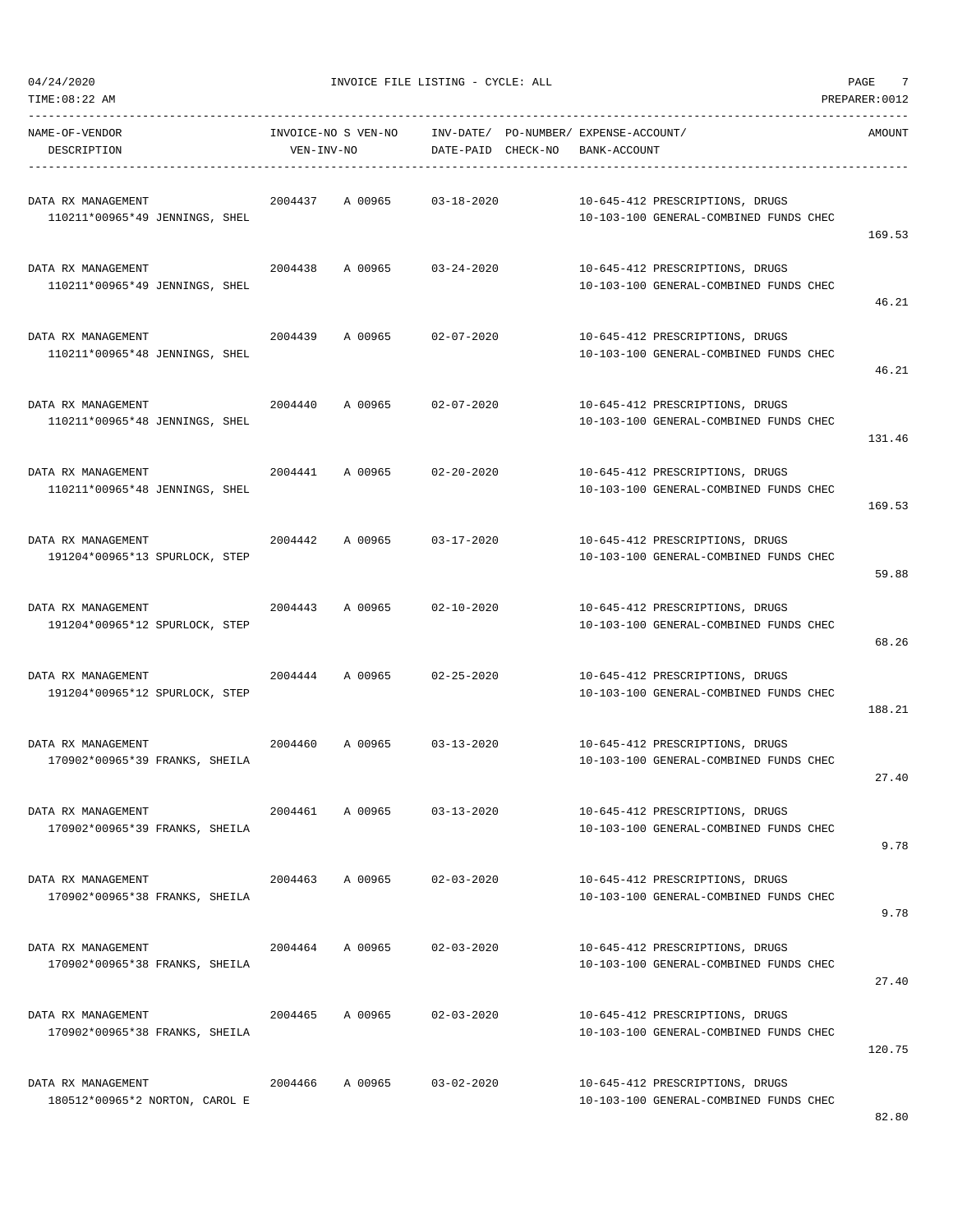$04/24/2020$  PAGE  $7$ 

| NAME-OF-VENDOR<br>DESCRIPTION                        | INVOICE-NO S VEN-NO<br>VEN-INV-NO |         | INV-DATE/ PO-NUMBER/ EXPENSE-ACCOUNT/<br>DATE-PAID CHECK-NO | BANK-ACCOUNT |                                                                           | AMOUNT |
|------------------------------------------------------|-----------------------------------|---------|-------------------------------------------------------------|--------------|---------------------------------------------------------------------------|--------|
| DATA RX MANAGEMENT<br>110211*00965*49 JENNINGS, SHEL | 2004437                           | A 00965 | $03 - 18 - 2020$                                            |              | 10-645-412 PRESCRIPTIONS, DRUGS<br>10-103-100 GENERAL-COMBINED FUNDS CHEC | 169.53 |
| DATA RX MANAGEMENT<br>110211*00965*49 JENNINGS, SHEL | 2004438                           | A 00965 | $03 - 24 - 2020$                                            |              | 10-645-412 PRESCRIPTIONS, DRUGS<br>10-103-100 GENERAL-COMBINED FUNDS CHEC | 46.21  |
| DATA RX MANAGEMENT<br>110211*00965*48 JENNINGS, SHEL | 2004439                           | A 00965 | 02-07-2020                                                  |              | 10-645-412 PRESCRIPTIONS, DRUGS<br>10-103-100 GENERAL-COMBINED FUNDS CHEC | 46.21  |
| DATA RX MANAGEMENT<br>110211*00965*48 JENNINGS, SHEL | 2004440                           | A 00965 | $02 - 07 - 2020$                                            |              | 10-645-412 PRESCRIPTIONS, DRUGS<br>10-103-100 GENERAL-COMBINED FUNDS CHEC | 131.46 |
| DATA RX MANAGEMENT<br>110211*00965*48 JENNINGS, SHEL |                                   |         | 2004441 A 00965 02-20-2020                                  |              | 10-645-412 PRESCRIPTIONS, DRUGS<br>10-103-100 GENERAL-COMBINED FUNDS CHEC | 169.53 |
| DATA RX MANAGEMENT<br>191204*00965*13 SPURLOCK, STEP | 2004442                           | A 00965 | $03 - 17 - 2020$                                            |              | 10-645-412 PRESCRIPTIONS, DRUGS<br>10-103-100 GENERAL-COMBINED FUNDS CHEC | 59.88  |
| DATA RX MANAGEMENT<br>191204*00965*12 SPURLOCK, STEP | 2004443                           | A 00965 | $02 - 10 - 2020$                                            |              | 10-645-412 PRESCRIPTIONS, DRUGS<br>10-103-100 GENERAL-COMBINED FUNDS CHEC | 68.26  |
| DATA RX MANAGEMENT<br>191204*00965*12 SPURLOCK, STEP | 2004444                           | A 00965 | $02 - 25 - 2020$                                            |              | 10-645-412 PRESCRIPTIONS, DRUGS<br>10-103-100 GENERAL-COMBINED FUNDS CHEC | 188.21 |
| DATA RX MANAGEMENT<br>170902*00965*39 FRANKS, SHEILA | 2004460                           | A 00965 | $03 - 13 - 2020$                                            |              | 10-645-412 PRESCRIPTIONS, DRUGS<br>10-103-100 GENERAL-COMBINED FUNDS CHEC | 27.40  |
| DATA RX MANAGEMENT<br>170902*00965*39 FRANKS, SHEILA | 2004461                           | A 00965 | $03 - 13 - 2020$                                            |              | 10-645-412 PRESCRIPTIONS, DRUGS<br>10-103-100 GENERAL-COMBINED FUNDS CHEC | 9.78   |
| DATA RX MANAGEMENT<br>170902*00965*38 FRANKS, SHEILA | 2004463                           | A 00965 | $02 - 03 - 2020$                                            |              | 10-645-412 PRESCRIPTIONS, DRUGS<br>10-103-100 GENERAL-COMBINED FUNDS CHEC | 9.78   |
| DATA RX MANAGEMENT<br>170902*00965*38 FRANKS, SHEILA | 2004464                           | A 00965 | $02 - 03 - 2020$                                            |              | 10-645-412 PRESCRIPTIONS, DRUGS<br>10-103-100 GENERAL-COMBINED FUNDS CHEC | 27.40  |
| DATA RX MANAGEMENT<br>170902*00965*38 FRANKS, SHEILA | 2004465                           | A 00965 | $02 - 03 - 2020$                                            |              | 10-645-412 PRESCRIPTIONS, DRUGS<br>10-103-100 GENERAL-COMBINED FUNDS CHEC | 120.75 |
| DATA RX MANAGEMENT<br>180512*00965*2 NORTON, CAROL E | 2004466                           | A 00965 | $03 - 02 - 2020$                                            |              | 10-645-412 PRESCRIPTIONS, DRUGS<br>10-103-100 GENERAL-COMBINED FUNDS CHEC |        |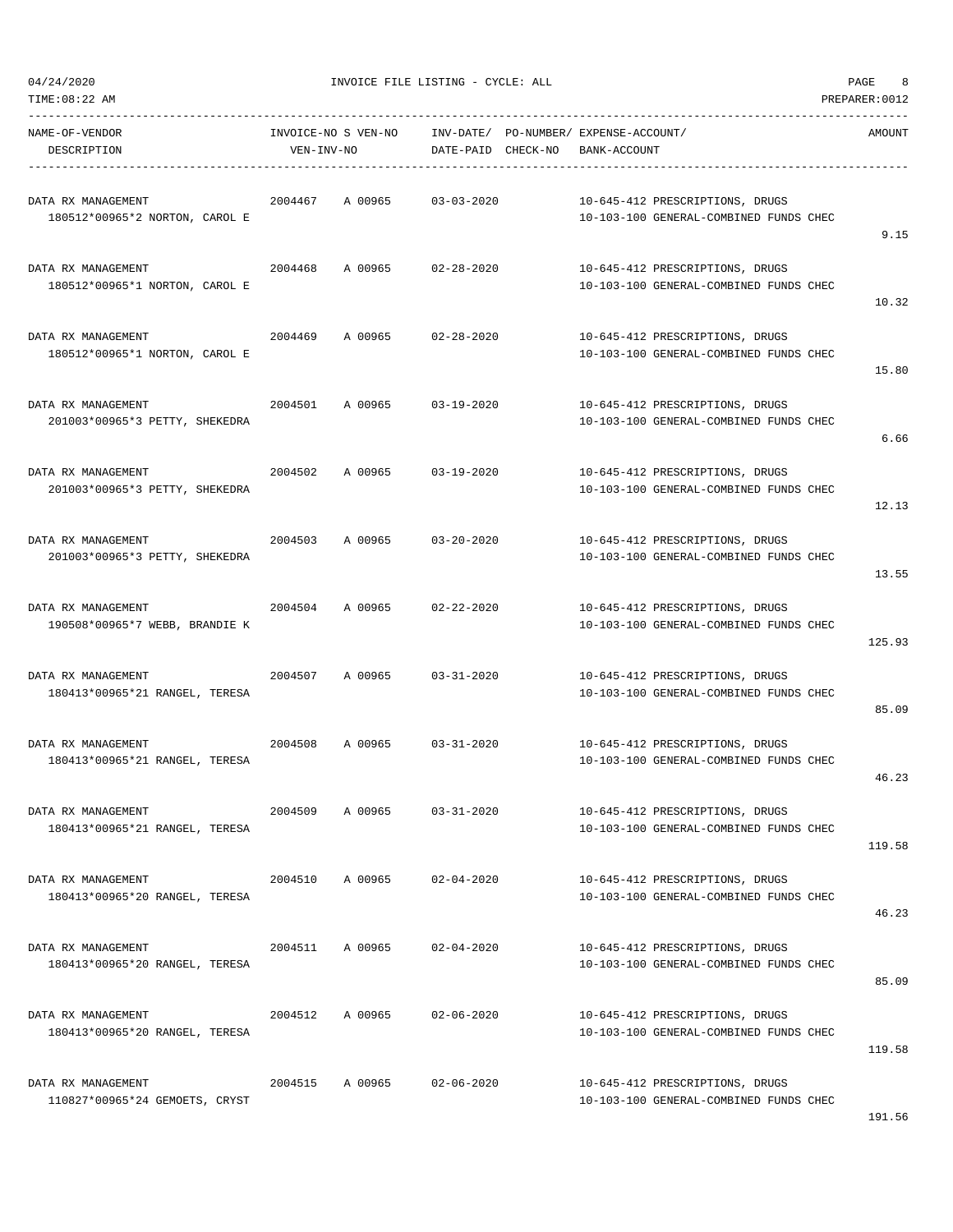| TIME:08:22 AM                                        |                                   |         |                                 |                                                                           | PREPARER: 0012 |
|------------------------------------------------------|-----------------------------------|---------|---------------------------------|---------------------------------------------------------------------------|----------------|
| NAME-OF-VENDOR<br>DESCRIPTION                        | INVOICE-NO S VEN-NO<br>VEN-INV-NO |         | INV-DATE/<br>DATE-PAID CHECK-NO | PO-NUMBER/ EXPENSE-ACCOUNT/<br>BANK-ACCOUNT                               | AMOUNT         |
| DATA RX MANAGEMENT<br>180512*00965*2 NORTON, CAROL E | 2004467                           | A 00965 | $03 - 03 - 2020$                | 10-645-412 PRESCRIPTIONS, DRUGS<br>10-103-100 GENERAL-COMBINED FUNDS CHEC | 9.15           |
| DATA RX MANAGEMENT<br>180512*00965*1 NORTON, CAROL E | 2004468                           | A 00965 | $02 - 28 - 2020$                | 10-645-412 PRESCRIPTIONS, DRUGS<br>10-103-100 GENERAL-COMBINED FUNDS CHEC | 10.32          |
| DATA RX MANAGEMENT<br>180512*00965*1 NORTON, CAROL E | 2004469                           | A 00965 | $02 - 28 - 2020$                | 10-645-412 PRESCRIPTIONS, DRUGS<br>10-103-100 GENERAL-COMBINED FUNDS CHEC | 15.80          |
| DATA RX MANAGEMENT<br>201003*00965*3 PETTY, SHEKEDRA | 2004501                           | A 00965 | $03 - 19 - 2020$                | 10-645-412 PRESCRIPTIONS, DRUGS<br>10-103-100 GENERAL-COMBINED FUNDS CHEC | 6.66           |
| DATA RX MANAGEMENT<br>201003*00965*3 PETTY, SHEKEDRA | 2004502                           | A 00965 | $03 - 19 - 2020$                | 10-645-412 PRESCRIPTIONS, DRUGS<br>10-103-100 GENERAL-COMBINED FUNDS CHEC | 12.13          |
| DATA RX MANAGEMENT<br>201003*00965*3 PETTY, SHEKEDRA | 2004503                           | A 00965 | $03 - 20 - 2020$                | 10-645-412 PRESCRIPTIONS, DRUGS<br>10-103-100 GENERAL-COMBINED FUNDS CHEC | 13.55          |
| DATA RX MANAGEMENT<br>190508*00965*7 WEBB, BRANDIE K | 2004504                           | A 00965 | $02 - 22 - 2020$                | 10-645-412 PRESCRIPTIONS, DRUGS<br>10-103-100 GENERAL-COMBINED FUNDS CHEC | 125.93         |
| DATA RX MANAGEMENT<br>180413*00965*21 RANGEL, TERESA | 2004507                           | A 00965 | $03 - 31 - 2020$                | 10-645-412 PRESCRIPTIONS, DRUGS<br>10-103-100 GENERAL-COMBINED FUNDS CHEC | 85.09          |
| DATA RX MANAGEMENT<br>180413*00965*21 RANGEL, TERESA | 2004508                           | A 00965 | $03 - 31 - 2020$                | 10-645-412 PRESCRIPTIONS, DRUGS<br>10-103-100 GENERAL-COMBINED FUNDS CHEC | 46.23          |
| DATA RX MANAGEMENT<br>180413*00965*21 RANGEL, TERESA | 2004509                           | A 00965 | $03 - 31 - 2020$                | 10-645-412 PRESCRIPTIONS, DRUGS<br>10-103-100 GENERAL-COMBINED FUNDS CHEC | 119.58         |
| DATA RX MANAGEMENT<br>180413*00965*20 RANGEL, TERESA | 2004510                           | A 00965 | $02 - 04 - 2020$                | 10-645-412 PRESCRIPTIONS, DRUGS<br>10-103-100 GENERAL-COMBINED FUNDS CHEC | 46.23          |
| DATA RX MANAGEMENT<br>180413*00965*20 RANGEL, TERESA | 2004511                           | A 00965 | $02 - 04 - 2020$                | 10-645-412 PRESCRIPTIONS, DRUGS<br>10-103-100 GENERAL-COMBINED FUNDS CHEC | 85.09          |
| DATA RX MANAGEMENT<br>180413*00965*20 RANGEL, TERESA | 2004512                           | A 00965 | $02 - 06 - 2020$                | 10-645-412 PRESCRIPTIONS, DRUGS<br>10-103-100 GENERAL-COMBINED FUNDS CHEC | 119.58         |
| DATA RX MANAGEMENT<br>110827*00965*24 GEMOETS, CRYST | 2004515                           | A 00965 | $02 - 06 - 2020$                | 10-645-412 PRESCRIPTIONS, DRUGS<br>10-103-100 GENERAL-COMBINED FUNDS CHEC |                |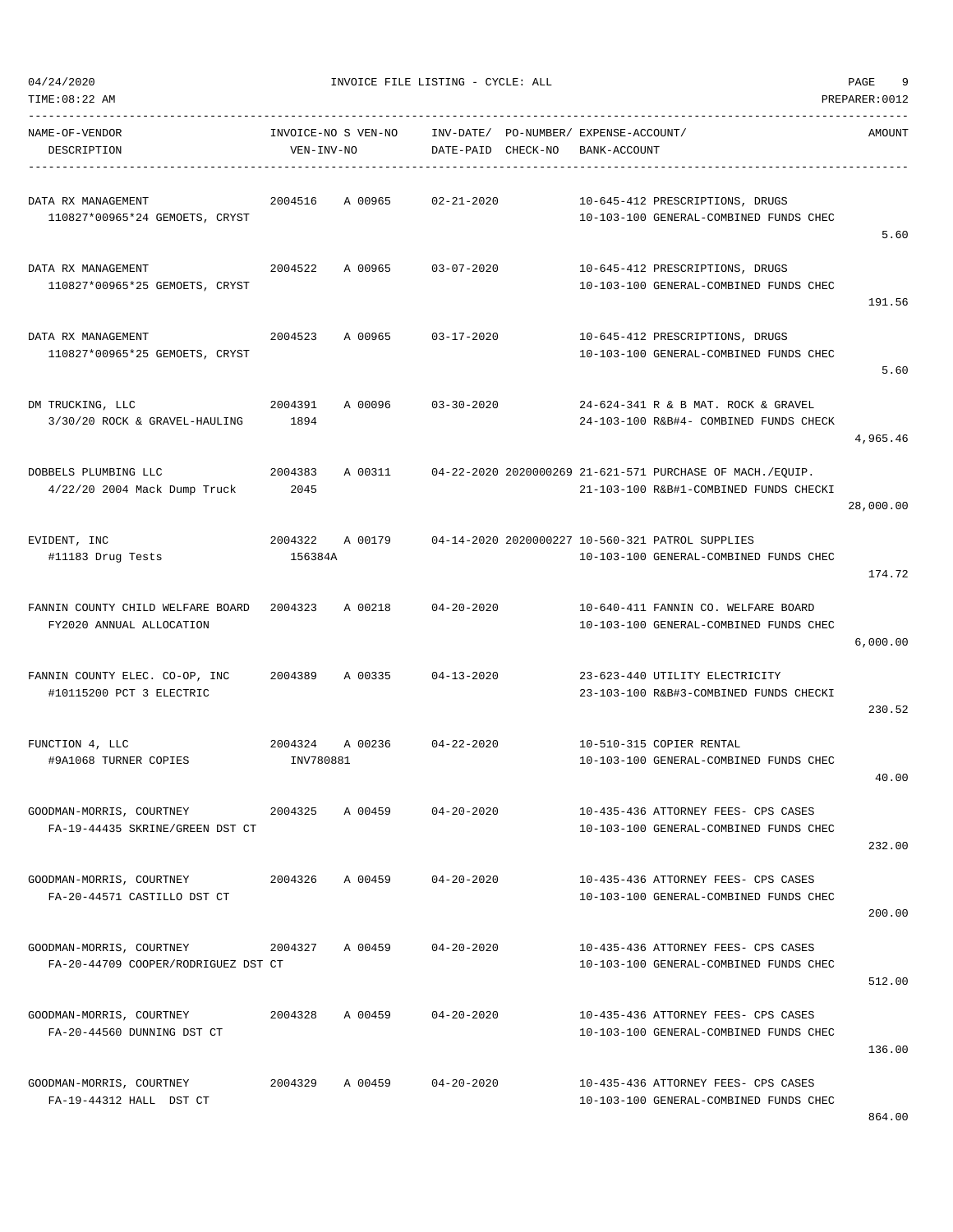| 04/24/2020 |  |
|------------|--|

| TIME: 08:22 AM                                                  |                                   |         |                                 |                                             |                                                                                                     | PREPARER: 0012 |
|-----------------------------------------------------------------|-----------------------------------|---------|---------------------------------|---------------------------------------------|-----------------------------------------------------------------------------------------------------|----------------|
| NAME-OF-VENDOR<br>DESCRIPTION                                   | INVOICE-NO S VEN-NO<br>VEN-INV-NO |         | INV-DATE/<br>DATE-PAID CHECK-NO | PO-NUMBER/ EXPENSE-ACCOUNT/<br>BANK-ACCOUNT |                                                                                                     | AMOUNT         |
| DATA RX MANAGEMENT<br>110827*00965*24 GEMOETS, CRYST            | 2004516                           | A 00965 | $02 - 21 - 2020$                |                                             | 10-645-412 PRESCRIPTIONS, DRUGS<br>10-103-100 GENERAL-COMBINED FUNDS CHEC                           | 5.60           |
| DATA RX MANAGEMENT<br>110827*00965*25 GEMOETS, CRYST            | 2004522                           | A 00965 | $03 - 07 - 2020$                |                                             | 10-645-412 PRESCRIPTIONS, DRUGS<br>10-103-100 GENERAL-COMBINED FUNDS CHEC                           | 191.56         |
| DATA RX MANAGEMENT<br>110827*00965*25 GEMOETS, CRYST            | 2004523                           | A 00965 | $03 - 17 - 2020$                |                                             | 10-645-412 PRESCRIPTIONS, DRUGS<br>10-103-100 GENERAL-COMBINED FUNDS CHEC                           | 5.60           |
| DM TRUCKING, LLC<br>3/30/20 ROCK & GRAVEL-HAULING               | 2004391<br>1894                   | A 00096 | $03 - 30 - 2020$                |                                             | 24-624-341 R & B MAT. ROCK & GRAVEL<br>24-103-100 R&B#4- COMBINED FUNDS CHECK                       | 4,965.46       |
| DOBBELS PLUMBING LLC<br>4/22/20 2004 Mack Dump Truck            | 2004383<br>2045                   | A 00311 |                                 |                                             | 04-22-2020 2020000269 21-621-571 PURCHASE OF MACH./EQUIP.<br>21-103-100 R&B#1-COMBINED FUNDS CHECKI | 28,000.00      |
| EVIDENT, INC<br>#11183 Drug Tests                               | 2004322<br>156384A                | A 00179 |                                 |                                             | 04-14-2020 2020000227 10-560-321 PATROL SUPPLIES<br>10-103-100 GENERAL-COMBINED FUNDS CHEC          | 174.72         |
| FANNIN COUNTY CHILD WELFARE BOARD<br>FY2020 ANNUAL ALLOCATION   | 2004323                           | A 00218 | $04 - 20 - 2020$                |                                             | 10-640-411 FANNIN CO. WELFARE BOARD<br>10-103-100 GENERAL-COMBINED FUNDS CHEC                       | 6,000.00       |
| FANNIN COUNTY ELEC. CO-OP, INC<br>#10115200 PCT 3 ELECTRIC      | 2004389                           | A 00335 | $04 - 13 - 2020$                |                                             | 23-623-440 UTILITY ELECTRICITY<br>23-103-100 R&B#3-COMBINED FUNDS CHECKI                            | 230.52         |
| FUNCTION 4, LLC<br>#9A1068 TURNER COPIES                        | 2004324<br>INV780881              | A 00236 | $04 - 22 - 2020$                |                                             | 10-510-315 COPIER RENTAL<br>10-103-100 GENERAL-COMBINED FUNDS CHEC                                  | 40.00          |
| GOODMAN-MORRIS, COURTNEY<br>FA-19-44435 SKRINE/GREEN DST CT     | 2004325                           | A 00459 | $04 - 20 - 2020$                |                                             | 10-435-436 ATTORNEY FEES- CPS CASES<br>10-103-100 GENERAL-COMBINED FUNDS CHEC                       | 232.00         |
| GOODMAN-MORRIS, COURTNEY<br>FA-20-44571 CASTILLO DST CT         | 2004326                           | A 00459 | $04 - 20 - 2020$                |                                             | 10-435-436 ATTORNEY FEES- CPS CASES<br>10-103-100 GENERAL-COMBINED FUNDS CHEC                       | 200.00         |
| GOODMAN-MORRIS, COURTNEY<br>FA-20-44709 COOPER/RODRIGUEZ DST CT | 2004327 A 00459                   |         | $04 - 20 - 2020$                |                                             | 10-435-436 ATTORNEY FEES- CPS CASES<br>10-103-100 GENERAL-COMBINED FUNDS CHEC                       | 512.00         |
| GOODMAN-MORRIS, COURTNEY<br>FA-20-44560 DUNNING DST CT          | 2004328                           | A 00459 | $04 - 20 - 2020$                |                                             | 10-435-436 ATTORNEY FEES- CPS CASES<br>10-103-100 GENERAL-COMBINED FUNDS CHEC                       | 136.00         |
| GOODMAN-MORRIS, COURTNEY<br>FA-19-44312 HALL DST CT             | 2004329                           | A 00459 | $04 - 20 - 2020$                |                                             | 10-435-436 ATTORNEY FEES- CPS CASES<br>10-103-100 GENERAL-COMBINED FUNDS CHEC                       |                |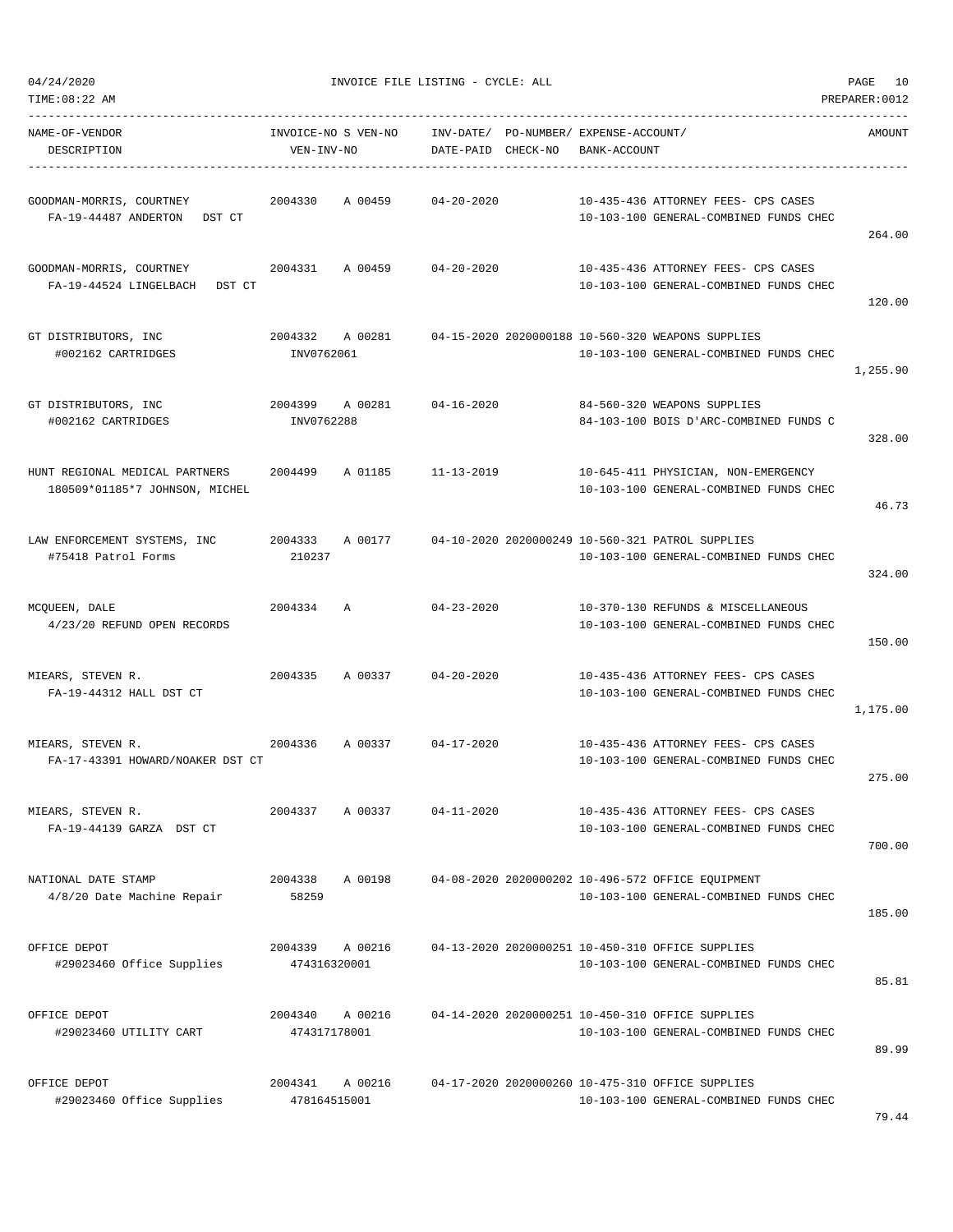| 04/24/2020 |
|------------|
|            |

| TIME:08:22 AM                                                    |                                   |         |                                 |                                             |                                                                                             | PREPARER: 0012 |
|------------------------------------------------------------------|-----------------------------------|---------|---------------------------------|---------------------------------------------|---------------------------------------------------------------------------------------------|----------------|
| NAME-OF-VENDOR<br>DESCRIPTION                                    | INVOICE-NO S VEN-NO<br>VEN-INV-NO |         | INV-DATE/<br>DATE-PAID CHECK-NO | PO-NUMBER/ EXPENSE-ACCOUNT/<br>BANK-ACCOUNT |                                                                                             | AMOUNT         |
| GOODMAN-MORRIS, COURTNEY<br>FA-19-44487 ANDERTON<br>DST CT       | 2004330                           | A 00459 | $04 - 20 - 2020$                |                                             | 10-435-436 ATTORNEY FEES- CPS CASES<br>10-103-100 GENERAL-COMBINED FUNDS CHEC               | 264.00         |
| GOODMAN-MORRIS, COURTNEY<br>FA-19-44524 LINGELBACH<br>DST CT     | 2004331                           | A 00459 | $04 - 20 - 2020$                |                                             | 10-435-436 ATTORNEY FEES- CPS CASES<br>10-103-100 GENERAL-COMBINED FUNDS CHEC               | 120.00         |
| GT DISTRIBUTORS, INC<br>#002162 CARTRIDGES                       | 2004332<br>INV0762061             | A 00281 |                                 |                                             | 04-15-2020 2020000188 10-560-320 WEAPONS SUPPLIES<br>10-103-100 GENERAL-COMBINED FUNDS CHEC | 1,255.90       |
| GT DISTRIBUTORS, INC<br>#002162 CARTRIDGES                       | 2004399 A 00281<br>INV0762288     |         | 04-16-2020                      |                                             | 84-560-320 WEAPONS SUPPLIES<br>84-103-100 BOIS D'ARC-COMBINED FUNDS C                       | 328.00         |
| HUNT REGIONAL MEDICAL PARTNERS<br>180509*01185*7 JOHNSON, MICHEL | 2004499                           | A 01185 | $11 - 13 - 2019$                |                                             | 10-645-411 PHYSICIAN, NON-EMERGENCY<br>10-103-100 GENERAL-COMBINED FUNDS CHEC               | 46.73          |
| LAW ENFORCEMENT SYSTEMS, INC<br>#75418 Patrol Forms              | 2004333<br>210237                 | A 00177 |                                 |                                             | 04-10-2020 2020000249 10-560-321 PATROL SUPPLIES<br>10-103-100 GENERAL-COMBINED FUNDS CHEC  | 324.00         |
| MCQUEEN, DALE<br>4/23/20 REFUND OPEN RECORDS                     | 2004334                           | Α       | $04 - 23 - 2020$                |                                             | 10-370-130 REFUNDS & MISCELLANEOUS<br>10-103-100 GENERAL-COMBINED FUNDS CHEC                | 150.00         |
| MIEARS, STEVEN R.<br>FA-19-44312 HALL DST CT                     | 2004335                           | A 00337 | $04 - 20 - 2020$                |                                             | 10-435-436 ATTORNEY FEES- CPS CASES<br>10-103-100 GENERAL-COMBINED FUNDS CHEC               | 1,175.00       |
| MIEARS, STEVEN R.<br>FA-17-43391 HOWARD/NOAKER DST CT            | 2004336                           | A 00337 | $04 - 17 - 2020$                |                                             | 10-435-436 ATTORNEY FEES- CPS CASES<br>10-103-100 GENERAL-COMBINED FUNDS CHEC               | 275.00         |
| MIEARS, STEVEN R.<br>FA-19-44139 GARZA DST CT                    | 2004337                           | A 00337 | $04 - 11 - 2020$                |                                             | 10-435-436 ATTORNEY FEES- CPS CASES<br>10-103-100 GENERAL-COMBINED FUNDS CHEC               | 700.00         |
| NATIONAL DATE STAMP<br>4/8/20 Date Machine Repair                | 2004338<br>58259                  | A 00198 |                                 |                                             | 04-08-2020 2020000202 10-496-572 OFFICE EQUIPMENT<br>10-103-100 GENERAL-COMBINED FUNDS CHEC | 185.00         |
| OFFICE DEPOT<br>#29023460 Office Supplies                        | 2004339<br>474316320001           | A 00216 |                                 |                                             | 04-13-2020 2020000251 10-450-310 OFFICE SUPPLIES<br>10-103-100 GENERAL-COMBINED FUNDS CHEC  | 85.81          |
| OFFICE DEPOT<br>#29023460 UTILITY CART                           | 2004340<br>474317178001           | A 00216 |                                 |                                             | 04-14-2020 2020000251 10-450-310 OFFICE SUPPLIES<br>10-103-100 GENERAL-COMBINED FUNDS CHEC  | 89.99          |
| OFFICE DEPOT<br>#29023460 Office Supplies                        | 2004341<br>478164515001           | A 00216 |                                 |                                             | 04-17-2020 2020000260 10-475-310 OFFICE SUPPLIES<br>10-103-100 GENERAL-COMBINED FUNDS CHEC  |                |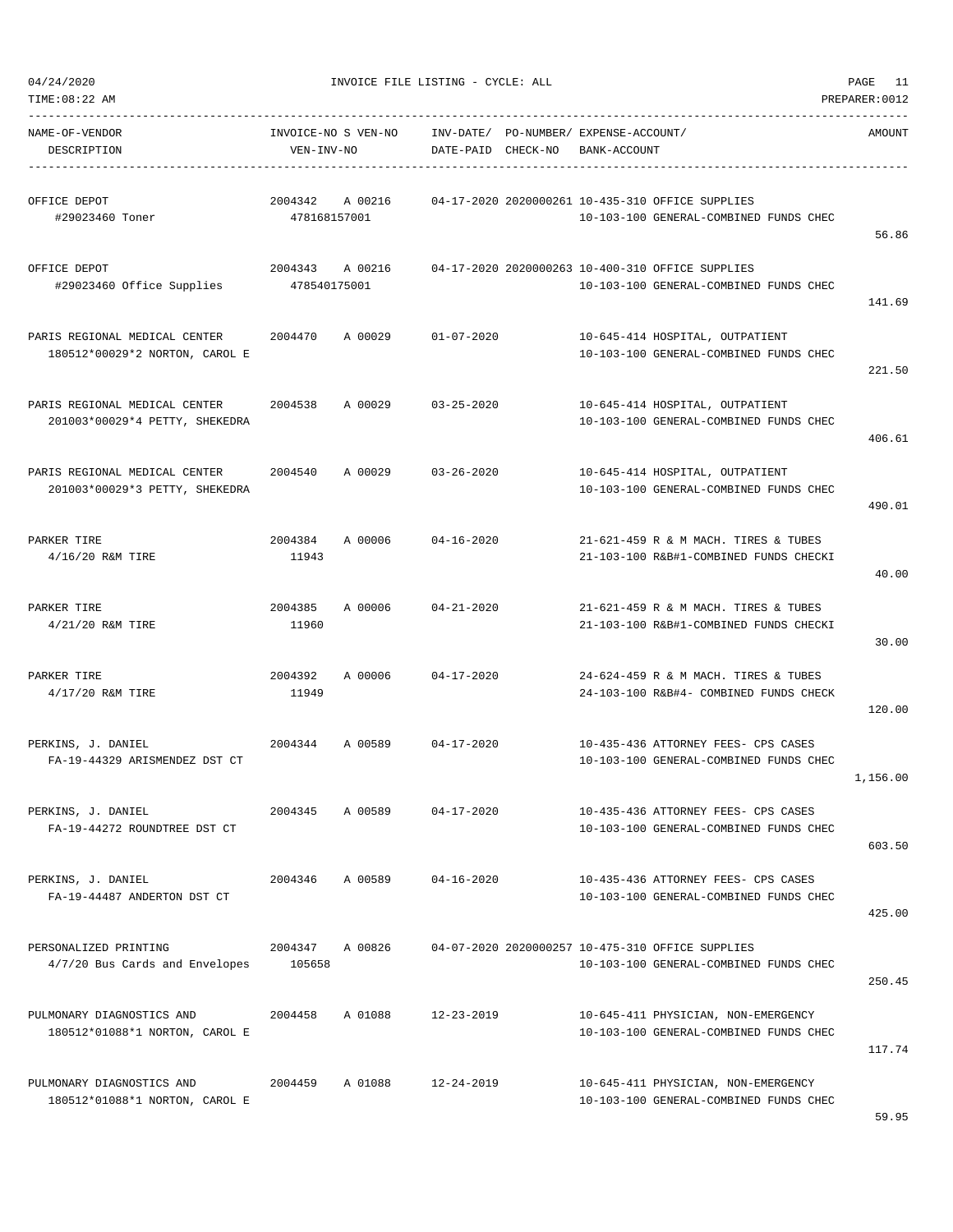| TIME:08:22 AM                                                   |                                   |         |                                 |                                             |                                                                                            | PREPARER: 0012 |
|-----------------------------------------------------------------|-----------------------------------|---------|---------------------------------|---------------------------------------------|--------------------------------------------------------------------------------------------|----------------|
| NAME-OF-VENDOR<br>DESCRIPTION                                   | INVOICE-NO S VEN-NO<br>VEN-INV-NO |         | INV-DATE/<br>DATE-PAID CHECK-NO | PO-NUMBER/ EXPENSE-ACCOUNT/<br>BANK-ACCOUNT |                                                                                            | AMOUNT         |
| OFFICE DEPOT<br>#29023460 Toner                                 | 2004342<br>478168157001           | A 00216 |                                 |                                             | 04-17-2020 2020000261 10-435-310 OFFICE SUPPLIES<br>10-103-100 GENERAL-COMBINED FUNDS CHEC | 56.86          |
| OFFICE DEPOT<br>#29023460 Office Supplies                       | 2004343 A 00216<br>478540175001   |         |                                 |                                             | 04-17-2020 2020000263 10-400-310 OFFICE SUPPLIES<br>10-103-100 GENERAL-COMBINED FUNDS CHEC | 141.69         |
| PARIS REGIONAL MEDICAL CENTER<br>180512*00029*2 NORTON, CAROL E | 2004470                           | A 00029 | $01 - 07 - 2020$                |                                             | 10-645-414 HOSPITAL, OUTPATIENT<br>10-103-100 GENERAL-COMBINED FUNDS CHEC                  | 221.50         |
| PARIS REGIONAL MEDICAL CENTER<br>201003*00029*4 PETTY, SHEKEDRA | 2004538                           | A 00029 | $03 - 25 - 2020$                |                                             | 10-645-414 HOSPITAL, OUTPATIENT<br>10-103-100 GENERAL-COMBINED FUNDS CHEC                  | 406.61         |
| PARIS REGIONAL MEDICAL CENTER<br>201003*00029*3 PETTY, SHEKEDRA | 2004540                           | A 00029 | $03 - 26 - 2020$                |                                             | 10-645-414 HOSPITAL, OUTPATIENT<br>10-103-100 GENERAL-COMBINED FUNDS CHEC                  | 490.01         |
| PARKER TIRE<br>4/16/20 R&M TIRE                                 | 2004384<br>11943                  | A 00006 | $04 - 16 - 2020$                |                                             | 21-621-459 R & M MACH. TIRES & TUBES<br>21-103-100 R&B#1-COMBINED FUNDS CHECKI             | 40.00          |
| PARKER TIRE<br>4/21/20 R&M TIRE                                 | 2004385<br>11960                  | A 00006 | $04 - 21 - 2020$                |                                             | 21-621-459 R & M MACH. TIRES & TUBES<br>21-103-100 R&B#1-COMBINED FUNDS CHECKI             | 30.00          |
| PARKER TIRE<br>$4/17/20$ R&M TIRE                               | 2004392<br>11949                  | A 00006 | $04 - 17 - 2020$                |                                             | 24-624-459 R & M MACH. TIRES & TUBES<br>24-103-100 R&B#4- COMBINED FUNDS CHECK             | 120.00         |
| PERKINS, J. DANIEL<br>FA-19-44329 ARISMENDEZ DST CT             | 2004344                           | A 00589 | $04 - 17 - 2020$                |                                             | 10-435-436 ATTORNEY FEES- CPS CASES<br>10-103-100 GENERAL-COMBINED FUNDS CHEC              | 1,156.00       |
| PERKINS, J. DANIEL<br>FA-19-44272 ROUNDTREE DST CT              | 2004345                           | A 00589 | $04 - 17 - 2020$                |                                             | 10-435-436 ATTORNEY FEES- CPS CASES<br>10-103-100 GENERAL-COMBINED FUNDS CHEC              | 603.50         |
| PERKINS, J. DANIEL<br>FA-19-44487 ANDERTON DST CT               | 2004346                           | A 00589 | $04 - 16 - 2020$                |                                             | 10-435-436 ATTORNEY FEES- CPS CASES<br>10-103-100 GENERAL-COMBINED FUNDS CHEC              | 425.00         |
| PERSONALIZED PRINTING<br>4/7/20 Bus Cards and Envelopes         | 2004347<br>105658                 | A 00826 |                                 |                                             | 04-07-2020 2020000257 10-475-310 OFFICE SUPPLIES<br>10-103-100 GENERAL-COMBINED FUNDS CHEC | 250.45         |
| PULMONARY DIAGNOSTICS AND<br>180512*01088*1 NORTON, CAROL E     | 2004458                           | A 01088 | $12 - 23 - 2019$                |                                             | 10-645-411 PHYSICIAN, NON-EMERGENCY<br>10-103-100 GENERAL-COMBINED FUNDS CHEC              | 117.74         |
| PULMONARY DIAGNOSTICS AND<br>180512*01088*1 NORTON, CAROL E     | 2004459                           | A 01088 | 12-24-2019                      |                                             | 10-645-411 PHYSICIAN, NON-EMERGENCY<br>10-103-100 GENERAL-COMBINED FUNDS CHEC              |                |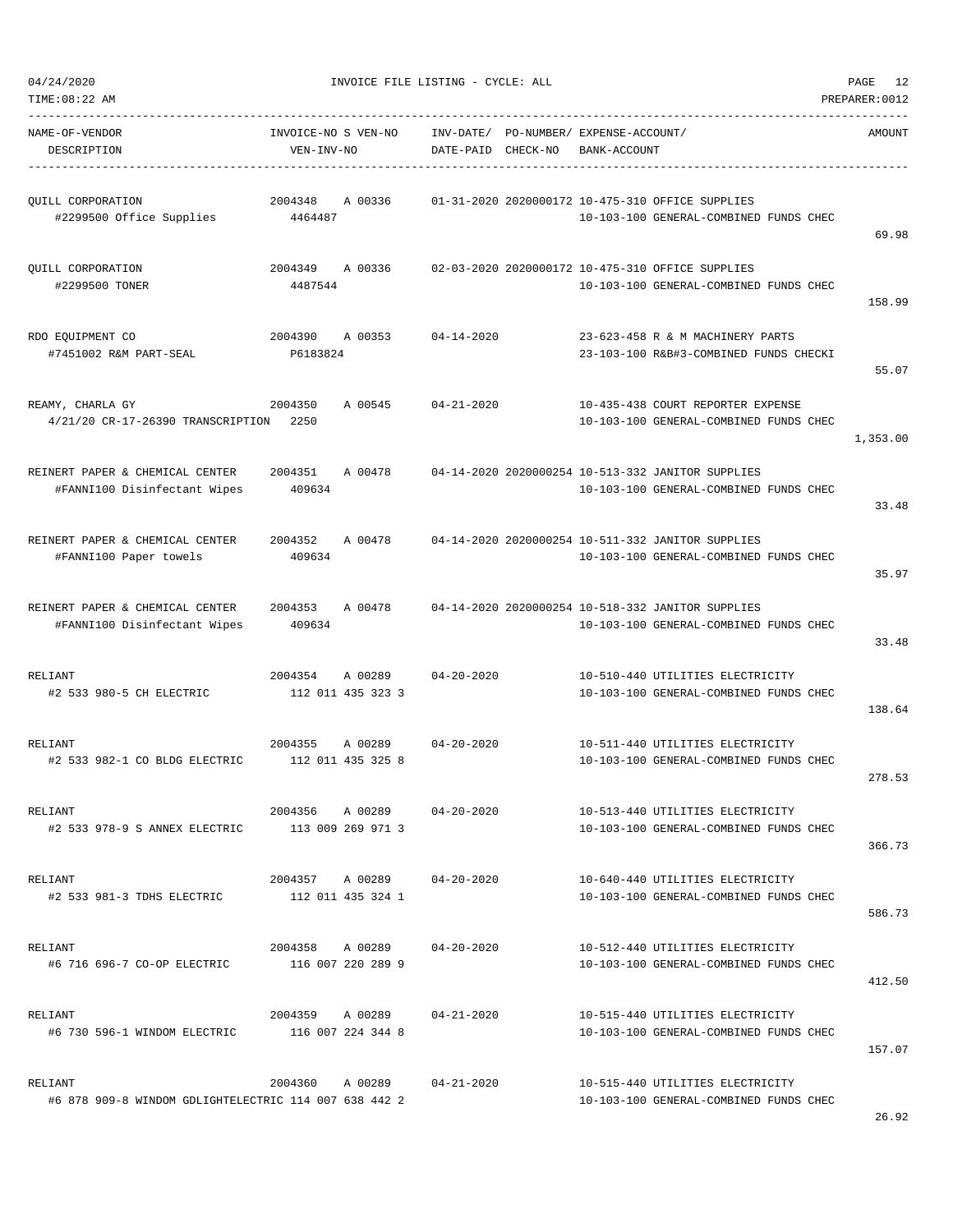|  | 04/24/2020 |  |
|--|------------|--|

TIME:08:22 AM PREPARER:0012

| NAME-OF-VENDOR<br>DESCRIPTION                                    | INVOICE-NO S VEN-NO<br>VEN-INV-NO |                                      | INV-DATE/<br>DATE-PAID CHECK-NO | PO-NUMBER/ EXPENSE-ACCOUNT/<br>BANK-ACCOUNT |                                                                                             | AMOUNT   |
|------------------------------------------------------------------|-----------------------------------|--------------------------------------|---------------------------------|---------------------------------------------|---------------------------------------------------------------------------------------------|----------|
| QUILL CORPORATION<br>#2299500 Office Supplies                    | 2004348<br>4464487                | A 00336                              |                                 |                                             | 01-31-2020 2020000172 10-475-310 OFFICE SUPPLIES<br>10-103-100 GENERAL-COMBINED FUNDS CHEC  | 69.98    |
| QUILL CORPORATION<br>#2299500 TONER                              | 2004349<br>4487544                | A 00336                              |                                 |                                             | 02-03-2020 2020000172 10-475-310 OFFICE SUPPLIES<br>10-103-100 GENERAL-COMBINED FUNDS CHEC  | 158.99   |
| RDO EQUIPMENT CO<br>#7451002 R&M PART-SEAL                       | 2004390<br>P6183824               | A 00353                              | $04 - 14 - 2020$                |                                             | 23-623-458 R & M MACHINERY PARTS<br>23-103-100 R&B#3-COMBINED FUNDS CHECKI                  | 55.07    |
| REAMY, CHARLA GY<br>4/21/20 CR-17-26390 TRANSCRIPTION            | 2004350<br>2250                   | A 00545                              | $04 - 21 - 2020$                |                                             | 10-435-438 COURT REPORTER EXPENSE<br>10-103-100 GENERAL-COMBINED FUNDS CHEC                 | 1,353.00 |
| REINERT PAPER & CHEMICAL CENTER<br>#FANNI100 Disinfectant Wipes  | 2004351<br>409634                 | A 00478                              |                                 |                                             | 04-14-2020 2020000254 10-513-332 JANITOR SUPPLIES<br>10-103-100 GENERAL-COMBINED FUNDS CHEC | 33.48    |
| REINERT PAPER & CHEMICAL CENTER<br>#FANNI100 Paper towels        | 2004352<br>409634                 | A 00478                              |                                 |                                             | 04-14-2020 2020000254 10-511-332 JANITOR SUPPLIES<br>10-103-100 GENERAL-COMBINED FUNDS CHEC | 35.97    |
| REINERT PAPER & CHEMICAL CENTER<br>#FANNI100 Disinfectant Wipes  | 2004353<br>409634                 | A 00478                              |                                 |                                             | 04-14-2020 2020000254 10-518-332 JANITOR SUPPLIES<br>10-103-100 GENERAL-COMBINED FUNDS CHEC | 33.48    |
| RELIANT<br>#2 533 980-5 CH ELECTRIC                              | 2004354                           | A 00289<br>112 011 435 323 3         | $04 - 20 - 2020$                |                                             | 10-510-440 UTILITIES ELECTRICITY<br>10-103-100 GENERAL-COMBINED FUNDS CHEC                  | 138.64   |
| RELIANT<br>#2 533 982-1 CO BLDG ELECTRIC                         | 2004355                           | A 00289<br>112 011 435 325 8         | $04 - 20 - 2020$                |                                             | 10-511-440 UTILITIES ELECTRICITY<br>10-103-100 GENERAL-COMBINED FUNDS CHEC                  | 278.53   |
| RELIANT<br>#2 533 978-9 S ANNEX ELECTRIC                         | 2004356<br>113 009 269 971 3      | A 00289                              | $04 - 20 - 2020$                |                                             | 10-513-440 UTILITIES ELECTRICITY<br>10-103-100 GENERAL-COMBINED FUNDS CHEC                  | 366.73   |
| RELIANT<br>#2 533 981-3 TDHS ELECTRIC                            | 2004357 A 00289                   | 112 011 435 324 1                    | 04-20-2020                      |                                             | 10-640-440 UTILITIES ELECTRICITY<br>10-103-100 GENERAL-COMBINED FUNDS CHEC                  | 586.73   |
| RELIANT<br>#6 716 696-7 CO-OP ELECTRIC                           |                                   | 2004358 A 00289<br>116 007 220 289 9 | $04 - 20 - 2020$                |                                             | 10-512-440 UTILITIES ELECTRICITY<br>10-103-100 GENERAL-COMBINED FUNDS CHEC                  | 412.50   |
| RELIANT<br>#6 730 596-1 WINDOM ELECTRIC                          | 116 007 224 344 8                 | 2004359 A 00289                      | $04 - 21 - 2020$                |                                             | 10-515-440 UTILITIES ELECTRICITY<br>10-103-100 GENERAL-COMBINED FUNDS CHEC                  | 157.07   |
| RELIANT<br>#6 878 909-8 WINDOM GDLIGHTELECTRIC 114 007 638 442 2 | 2004360                           | A 00289                              | 04-21-2020                      |                                             | 10-515-440 UTILITIES ELECTRICITY<br>10-103-100 GENERAL-COMBINED FUNDS CHEC                  |          |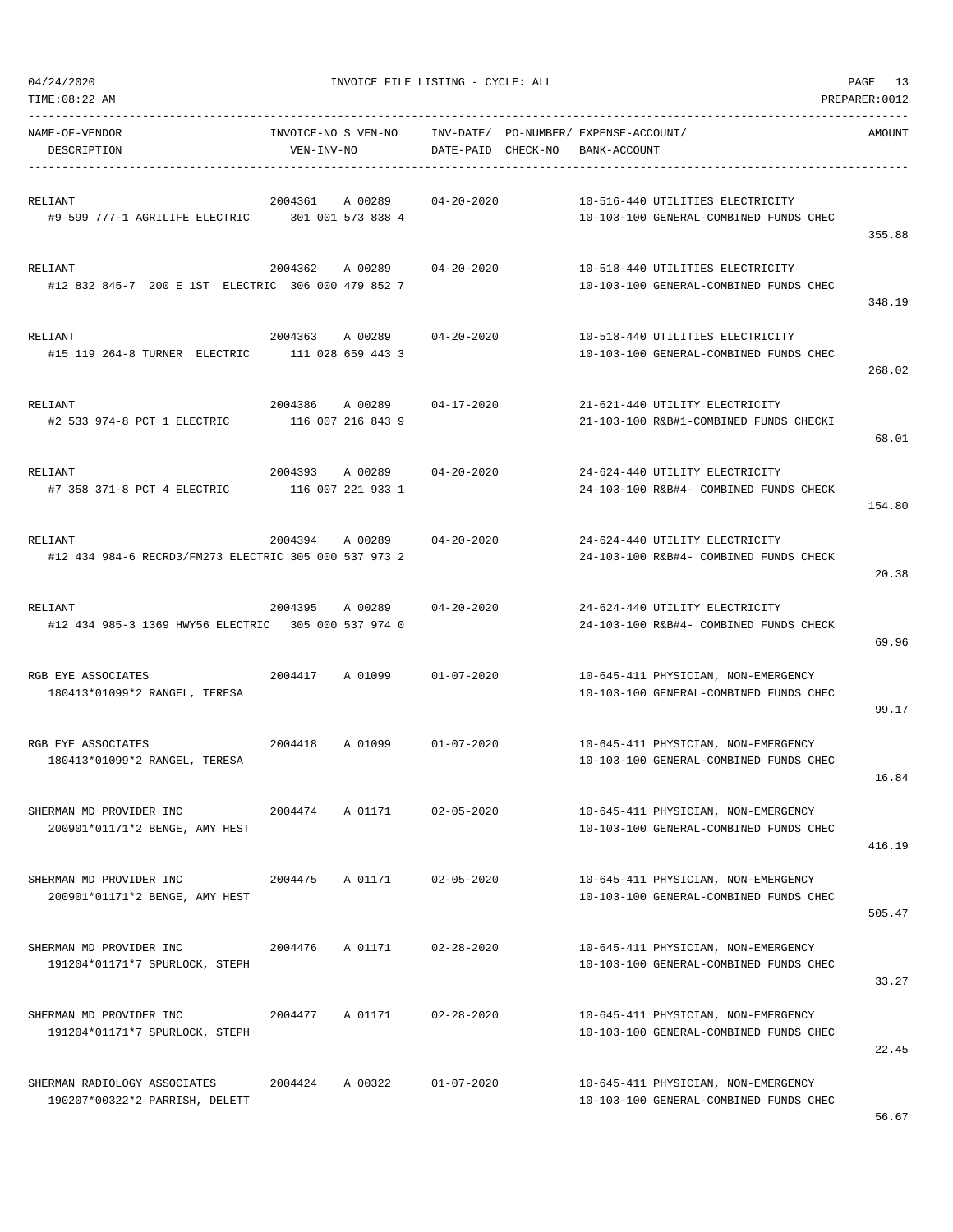| NAME-OF-VENDOR<br>DESCRIPTION                                    | INVOICE-NO S VEN-NO<br>VEN-INV-NO       | INV-DATE/ PO-NUMBER/ EXPENSE-ACCOUNT/<br>DATE-PAID CHECK-NO | BANK-ACCOUNT                                                                  | AMOUNT |
|------------------------------------------------------------------|-----------------------------------------|-------------------------------------------------------------|-------------------------------------------------------------------------------|--------|
| RELIANT<br>#9 599 777-1 AGRILIFE ELECTRIC 301 001 573 838 4      | 2004361<br>A 00289                      | $04 - 20 - 2020$                                            | 10-516-440 UTILITIES ELECTRICITY<br>10-103-100 GENERAL-COMBINED FUNDS CHEC    | 355.88 |
| RELIANT<br>#12 832 845-7 200 E 1ST ELECTRIC 306 000 479 852 7    | 2004362<br>A 00289                      | $04 - 20 - 2020$                                            | 10-518-440 UTILITIES ELECTRICITY<br>10-103-100 GENERAL-COMBINED FUNDS CHEC    | 348.19 |
| RELIANT<br>#15 119 264-8 TURNER ELECTRIC                         | 2004363 A 00289<br>111 028 659 443 3    | 04-20-2020                                                  | 10-518-440 UTILITIES ELECTRICITY<br>10-103-100 GENERAL-COMBINED FUNDS CHEC    | 268.02 |
| RELIANT<br>#2 533 974-8 PCT 1 ELECTRIC                           | 2004386<br>A 00289<br>116 007 216 843 9 | $04 - 17 - 2020$                                            | 21-621-440 UTILITY ELECTRICITY<br>21-103-100 R&B#1-COMBINED FUNDS CHECKI      | 68.01  |
| RELIANT<br>#7 358 371-8 PCT 4 ELECTRIC                           | 2004393<br>A 00289<br>116 007 221 933 1 | $04 - 20 - 2020$                                            | 24-624-440 UTILITY ELECTRICITY<br>24-103-100 R&B#4- COMBINED FUNDS CHECK      | 154.80 |
| RELIANT<br>#12 434 984-6 RECRD3/FM273 ELECTRIC 305 000 537 973 2 | 2004394<br>A 00289                      | $04 - 20 - 2020$                                            | 24-624-440 UTILITY ELECTRICITY<br>24-103-100 R&B#4- COMBINED FUNDS CHECK      | 20.38  |
| RELIANT<br>#12 434 985-3 1369 HWY56 ELECTRIC 305 000 537 974 0   | 2004395<br>A 00289                      | $04 - 20 - 2020$                                            | 24-624-440 UTILITY ELECTRICITY<br>24-103-100 R&B#4- COMBINED FUNDS CHECK      | 69.96  |
| RGB EYE ASSOCIATES<br>180413*01099*2 RANGEL, TERESA              | 2004417<br>A 01099                      | $01 - 07 - 2020$                                            | 10-645-411 PHYSICIAN, NON-EMERGENCY<br>10-103-100 GENERAL-COMBINED FUNDS CHEC | 99.17  |
| RGB EYE ASSOCIATES<br>180413*01099*2 RANGEL, TERESA              | 2004418<br>A 01099                      | $01 - 07 - 2020$                                            | 10-645-411 PHYSICIAN, NON-EMERGENCY<br>10-103-100 GENERAL-COMBINED FUNDS CHEC | 16.84  |
| SHERMAN MD PROVIDER INC<br>200901*01171*2 BENGE, AMY HEST        | 2004474<br>A 01171                      | $02 - 05 - 2020$                                            | 10-645-411 PHYSICIAN, NON-EMERGENCY<br>10-103-100 GENERAL-COMBINED FUNDS CHEC | 416.19 |
| SHERMAN MD PROVIDER INC<br>200901*01171*2 BENGE, AMY HEST        | 2004475<br>A 01171                      | $02 - 05 - 2020$                                            | 10-645-411 PHYSICIAN, NON-EMERGENCY<br>10-103-100 GENERAL-COMBINED FUNDS CHEC | 505.47 |
| SHERMAN MD PROVIDER INC<br>191204*01171*7 SPURLOCK, STEPH        | 2004476<br>A 01171                      | $02 - 28 - 2020$                                            | 10-645-411 PHYSICIAN, NON-EMERGENCY<br>10-103-100 GENERAL-COMBINED FUNDS CHEC | 33.27  |
| SHERMAN MD PROVIDER INC<br>191204*01171*7 SPURLOCK, STEPH        | A 01171<br>2004477                      | $02 - 28 - 2020$                                            | 10-645-411 PHYSICIAN, NON-EMERGENCY<br>10-103-100 GENERAL-COMBINED FUNDS CHEC | 22.45  |
| SHERMAN RADIOLOGY ASSOCIATES<br>190207*00322*2 PARRISH, DELETT   | 2004424<br>A 00322                      | $01 - 07 - 2020$                                            | 10-645-411 PHYSICIAN, NON-EMERGENCY<br>10-103-100 GENERAL-COMBINED FUNDS CHEC |        |

-----------------------------------------------------------------------------------------------------------------------------------

TIME:08:22 AM PREPARER:0012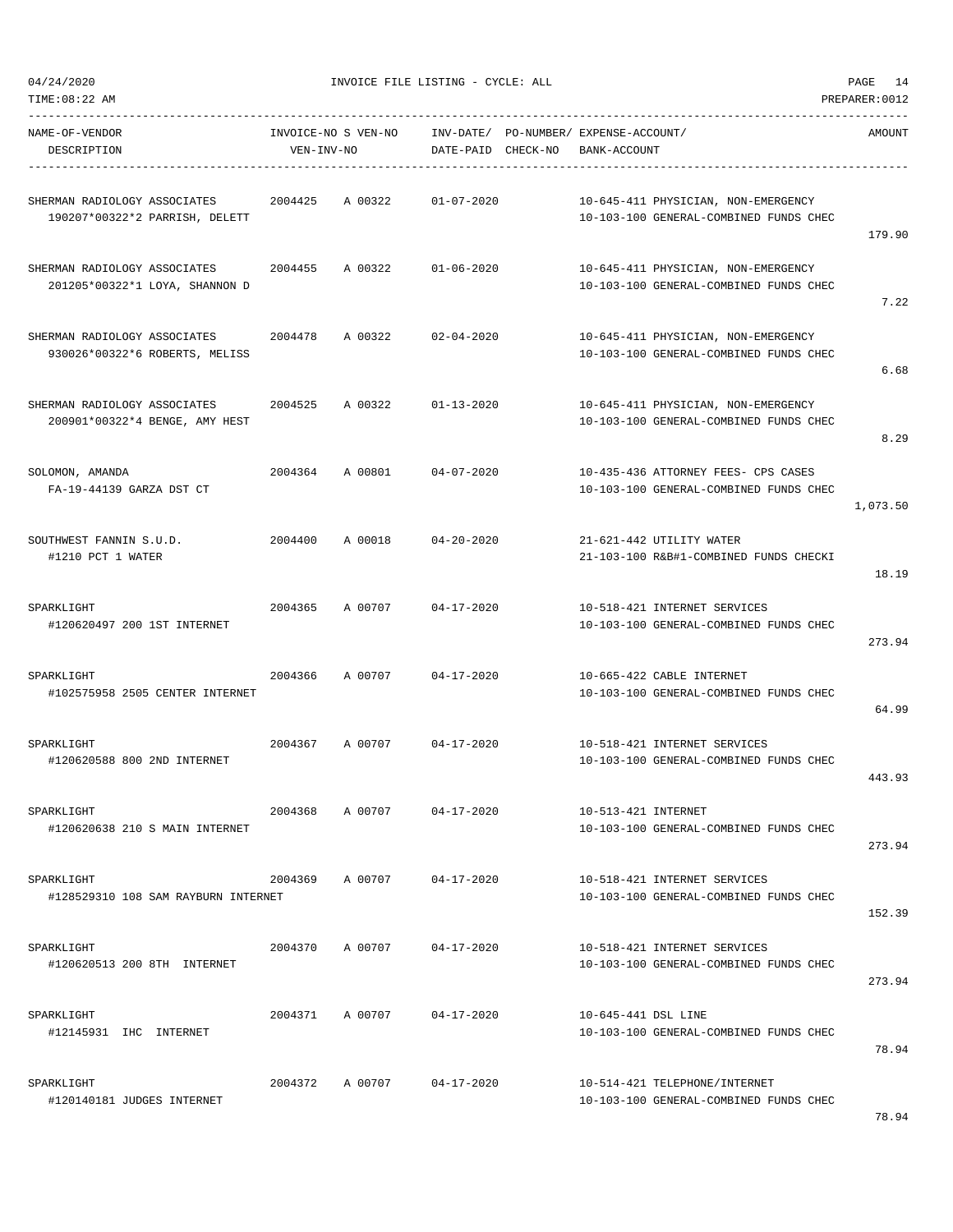04/24/2020 INVOICE FILE LISTING - CYCLE: ALL PAGE 14

| NAME-OF-VENDOR<br>DESCRIPTION                                          | VEN-INV-NO | INVOICE-NO S VEN-NO | DATE-PAID CHECK-NO         | INV-DATE/ PO-NUMBER/ EXPENSE-ACCOUNT/<br>BANK-ACCOUNT                         | AMOUNT   |
|------------------------------------------------------------------------|------------|---------------------|----------------------------|-------------------------------------------------------------------------------|----------|
| SHERMAN RADIOLOGY ASSOCIATES 2004425<br>190207*00322*2 PARRISH, DELETT |            | A 00322             | $01 - 07 - 2020$           | 10-645-411 PHYSICIAN, NON-EMERGENCY<br>10-103-100 GENERAL-COMBINED FUNDS CHEC | 179.90   |
| SHERMAN RADIOLOGY ASSOCIATES<br>201205*00322*1 LOYA, SHANNON D         | 2004455    |                     | A 00322 01-06-2020         | 10-645-411 PHYSICIAN, NON-EMERGENCY<br>10-103-100 GENERAL-COMBINED FUNDS CHEC | 7.22     |
| SHERMAN RADIOLOGY ASSOCIATES 2004478<br>930026*00322*6 ROBERTS, MELISS |            | A 00322             | $02 - 04 - 2020$           | 10-645-411 PHYSICIAN, NON-EMERGENCY<br>10-103-100 GENERAL-COMBINED FUNDS CHEC | 6.68     |
| SHERMAN RADIOLOGY ASSOCIATES<br>200901*00322*4 BENGE, AMY HEST         | 2004525    | A 00322             | 01-13-2020                 | 10-645-411 PHYSICIAN, NON-EMERGENCY<br>10-103-100 GENERAL-COMBINED FUNDS CHEC | 8.29     |
| SOLOMON, AMANDA<br>FA-19-44139 GARZA DST CT                            |            |                     | 2004364 A 00801 04-07-2020 | 10-435-436 ATTORNEY FEES- CPS CASES<br>10-103-100 GENERAL-COMBINED FUNDS CHEC | 1,073.50 |
| SOUTHWEST FANNIN S.U.D.<br>#1210 PCT 1 WATER                           | 2004400    | A 00018             | $04 - 20 - 2020$           | 21-621-442 UTILITY WATER<br>21-103-100 R&B#1-COMBINED FUNDS CHECKI            | 18.19    |
| SPARKLIGHT<br>#120620497 200 1ST INTERNET                              | 2004365    |                     | A 00707 04-17-2020         | 10-518-421 INTERNET SERVICES<br>10-103-100 GENERAL-COMBINED FUNDS CHEC        | 273.94   |
| SPARKLIGHT<br>#102575958 2505 CENTER INTERNET                          | 2004366    | A 00707             | 04-17-2020                 | 10-665-422 CABLE INTERNET<br>10-103-100 GENERAL-COMBINED FUNDS CHEC           | 64.99    |
| SPARKLIGHT<br>#120620588 800 2ND INTERNET                              | 2004367    | A 00707             | 04-17-2020                 | 10-518-421 INTERNET SERVICES<br>10-103-100 GENERAL-COMBINED FUNDS CHEC        | 443.93   |
| SPARKLIGHT<br>#120620638 210 S MAIN INTERNET                           | 2004368    | A 00707             | $04 - 17 - 2020$           | 10-513-421 INTERNET<br>10-103-100 GENERAL-COMBINED FUNDS CHEC                 | 273.94   |
| SPARKLIGHT<br>#128529310 108 SAM RAYBURN INTERNET                      | 2004369    | A 00707             | 04-17-2020                 | 10-518-421 INTERNET SERVICES<br>10-103-100 GENERAL-COMBINED FUNDS CHEC        | 152.39   |
| SPARKLIGHT<br>#120620513 200 8TH INTERNET                              | 2004370    | A 00707             | $04 - 17 - 2020$           | 10-518-421 INTERNET SERVICES<br>10-103-100 GENERAL-COMBINED FUNDS CHEC        | 273.94   |
| SPARKLIGHT<br>#12145931 IHC INTERNET                                   | 2004371    | A 00707             | 04-17-2020                 | 10-645-441 DSL LINE<br>10-103-100 GENERAL-COMBINED FUNDS CHEC                 | 78.94    |
| SPARKLIGHT<br>#120140181 JUDGES INTERNET                               | 2004372    |                     | A 00707 04-17-2020         | 10-514-421 TELEPHONE/INTERNET<br>10-103-100 GENERAL-COMBINED FUNDS CHEC       |          |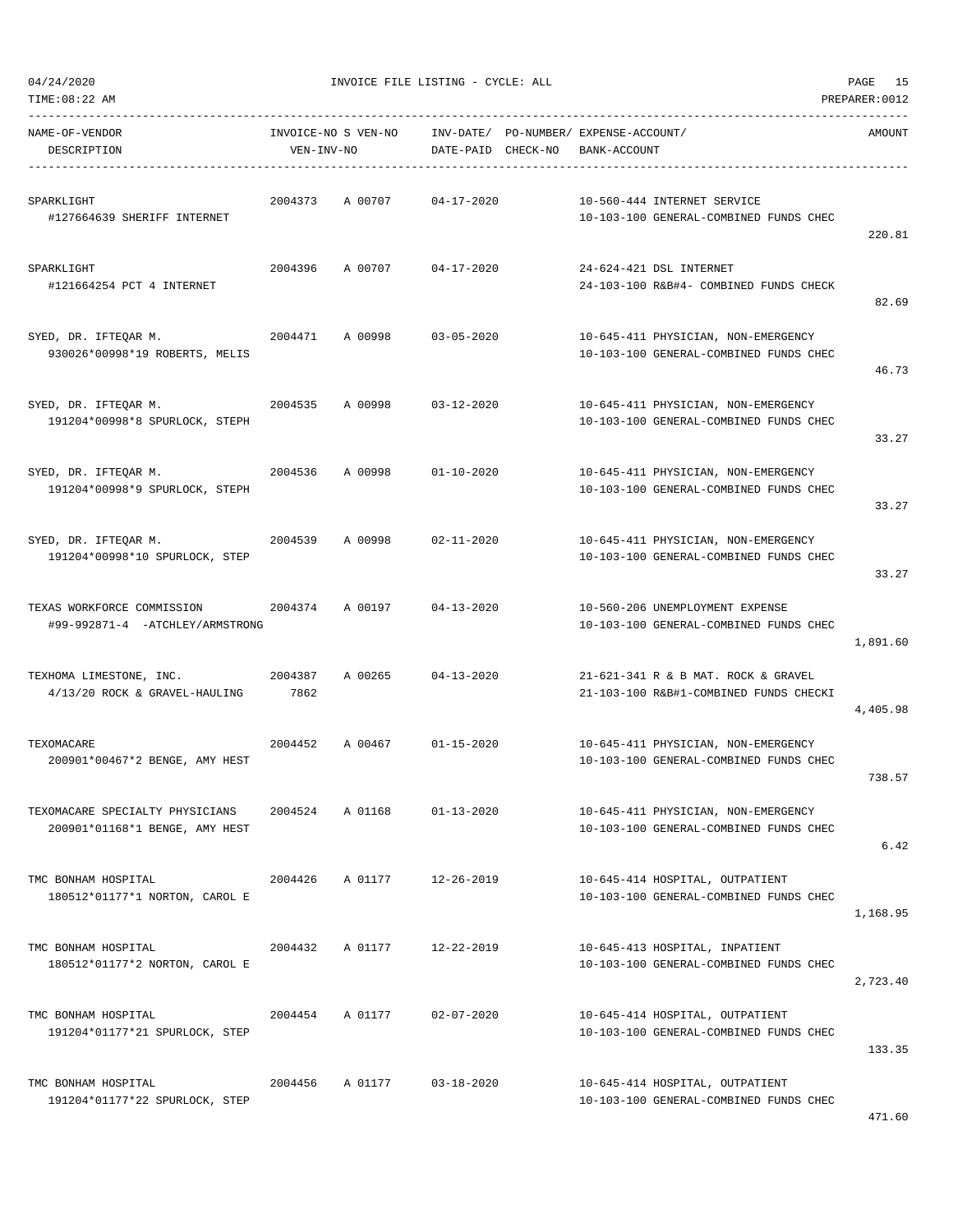| -----------------------------<br>NAME-OF-VENDOR<br>DESCRIPTION    | INVOICE-NO S VEN-NO<br>VEN-INV-NO |                           | INV-DATE/ PO-NUMBER/ EXPENSE-ACCOUNT/<br>DATE-PAID CHECK-NO BANK-ACCOUNT |  |                                                                               | AMOUNT   |
|-------------------------------------------------------------------|-----------------------------------|---------------------------|--------------------------------------------------------------------------|--|-------------------------------------------------------------------------------|----------|
| SPARKLIGHT<br>#127664639 SHERIFF INTERNET                         | 2004373                           | A 00707                   | 04-17-2020                                                               |  | 10-560-444 INTERNET SERVICE<br>10-103-100 GENERAL-COMBINED FUNDS CHEC         | 220.81   |
| SPARKLIGHT<br>#121664254 PCT 4 INTERNET                           | 2004396                           | A 00707 04-17-2020        |                                                                          |  | 24-624-421 DSL INTERNET<br>24-103-100 R&B#4- COMBINED FUNDS CHECK             | 82.69    |
| SYED, DR. IFTEQAR M.<br>930026*00998*19 ROBERTS, MELIS            |                                   | 2004471 A00998 03-05-2020 |                                                                          |  | 10-645-411 PHYSICIAN, NON-EMERGENCY<br>10-103-100 GENERAL-COMBINED FUNDS CHEC | 46.73    |
| SYED, DR. IFTEQAR M.<br>191204*00998*8 SPURLOCK, STEPH            | 2004535                           | A 00998                   | 03-12-2020                                                               |  | 10-645-411 PHYSICIAN, NON-EMERGENCY<br>10-103-100 GENERAL-COMBINED FUNDS CHEC | 33.27    |
| SYED, DR. IFTEOAR M.<br>191204*00998*9 SPURLOCK, STEPH            | 2004536                           | A 00998 01-10-2020        |                                                                          |  | 10-645-411 PHYSICIAN, NON-EMERGENCY<br>10-103-100 GENERAL-COMBINED FUNDS CHEC | 33.27    |
| SYED, DR. IFTEQAR M.<br>2004539<br>191204*00998*10 SPURLOCK, STEP |                                   | A 00998                   | $02 - 11 - 2020$                                                         |  | 10-645-411 PHYSICIAN, NON-EMERGENCY<br>10-103-100 GENERAL-COMBINED FUNDS CHEC | 33.27    |
| TEXAS WORKFORCE COMMISSION<br>#99-992871-4 -ATCHLEY/ARMSTRONG     | 2004374                           | A 00197 04-13-2020        |                                                                          |  | 10-560-206 UNEMPLOYMENT EXPENSE<br>10-103-100 GENERAL-COMBINED FUNDS CHEC     | 1,891.60 |
| TEXHOMA LIMESTONE, INC.<br>4/13/20 ROCK & GRAVEL-HAULING          | 2004387<br>7862                   | A 00265                   | $04 - 13 - 2020$                                                         |  | 21-621-341 R & B MAT. ROCK & GRAVEL<br>21-103-100 R&B#1-COMBINED FUNDS CHECKI | 4,405.98 |
| TEXOMACARE<br>200901*00467*2 BENGE, AMY HEST                      | 2004452                           | A 00467                   | $01 - 15 - 2020$                                                         |  | 10-645-411 PHYSICIAN, NON-EMERGENCY<br>10-103-100 GENERAL-COMBINED FUNDS CHEC | 738.57   |
| TEXOMACARE SPECIALTY PHYSICIANS<br>200901*01168*1 BENGE, AMY HEST | 2004524                           | A 01168                   | $01 - 13 - 2020$                                                         |  | 10-645-411 PHYSICIAN, NON-EMERGENCY<br>10-103-100 GENERAL-COMBINED FUNDS CHEC | 6.42     |
| TMC BONHAM HOSPITAL<br>180512*01177*1 NORTON, CAROL E             | 2004426                           | A 01177                   | $12 - 26 - 2019$                                                         |  | 10-645-414 HOSPITAL, OUTPATIENT<br>10-103-100 GENERAL-COMBINED FUNDS CHEC     | 1,168.95 |
| TMC BONHAM HOSPITAL<br>180512*01177*2 NORTON, CAROL E             | 2004432                           | A 01177                   | 12-22-2019                                                               |  | 10-645-413 HOSPITAL, INPATIENT<br>10-103-100 GENERAL-COMBINED FUNDS CHEC      | 2,723.40 |
| TMC BONHAM HOSPITAL<br>191204*01177*21 SPURLOCK, STEP             | 2004454                           | A 01177                   | $02 - 07 - 2020$                                                         |  | 10-645-414 HOSPITAL, OUTPATIENT<br>10-103-100 GENERAL-COMBINED FUNDS CHEC     | 133.35   |
| TMC BONHAM HOSPITAL<br>191204*01177*22 SPURLOCK, STEP             | 2004456                           | A 01177                   | $03 - 18 - 2020$                                                         |  | 10-645-414 HOSPITAL, OUTPATIENT<br>10-103-100 GENERAL-COMBINED FUNDS CHEC     |          |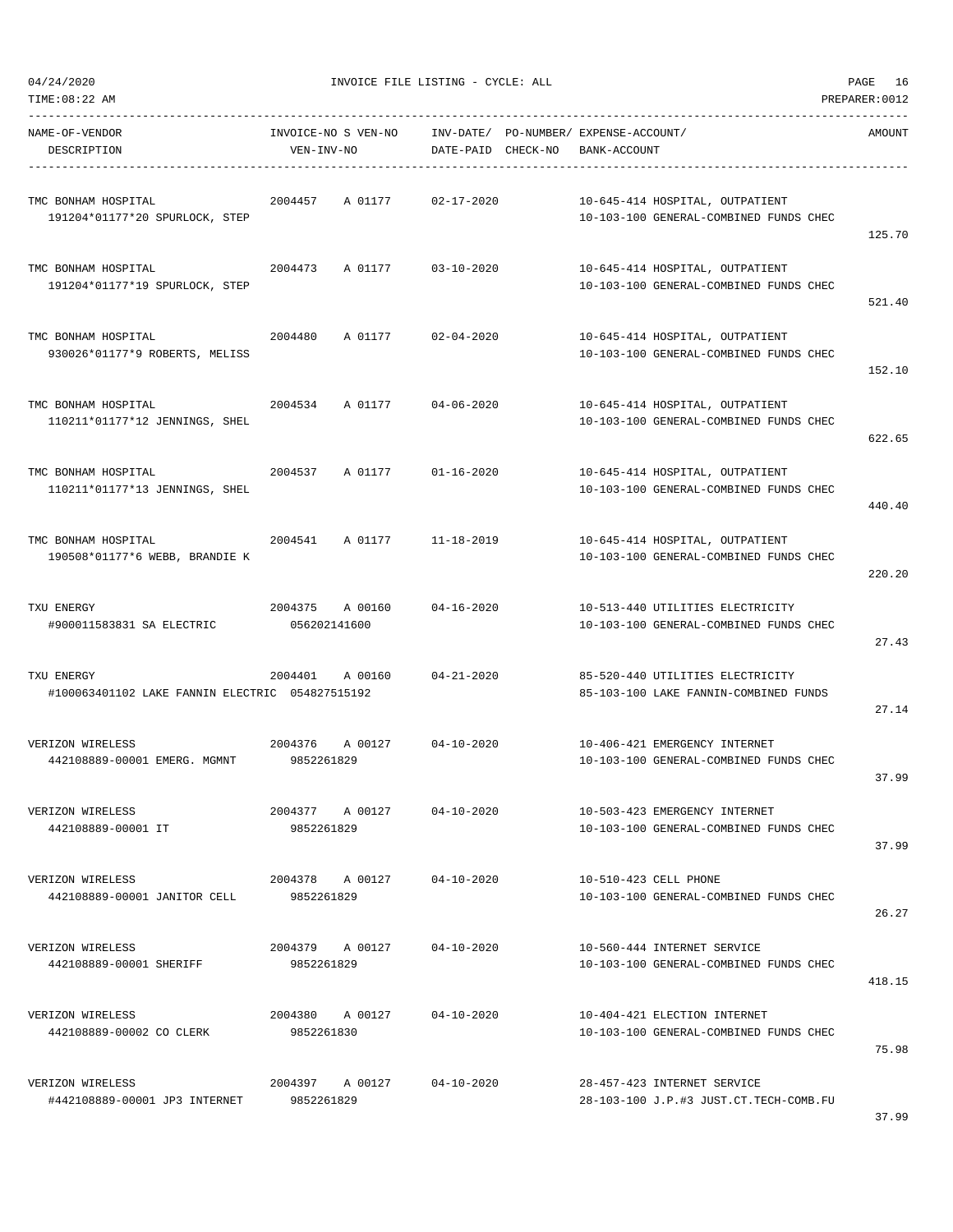| 04/24/2020                                                    | INVOICE FILE LISTING - CYCLE: ALL |                                                             | PAGE 16                                                                    |                |
|---------------------------------------------------------------|-----------------------------------|-------------------------------------------------------------|----------------------------------------------------------------------------|----------------|
| TIME: 08:22 AM                                                |                                   |                                                             |                                                                            | PREPARER: 0012 |
| NAME-OF-VENDOR<br>DESCRIPTION                                 | INVOICE-NO S VEN-NO<br>VEN-INV-NO | INV-DATE/ PO-NUMBER/ EXPENSE-ACCOUNT/<br>DATE-PAID CHECK-NO | BANK-ACCOUNT                                                               | AMOUNT         |
| TMC BONHAM HOSPITAL<br>191204*01177*20 SPURLOCK, STEP         | 2004457<br>A 01177                | $02 - 17 - 2020$                                            | 10-645-414 HOSPITAL, OUTPATIENT<br>10-103-100 GENERAL-COMBINED FUNDS CHEC  | 125.70         |
| TMC BONHAM HOSPITAL<br>191204*01177*19 SPURLOCK, STEP         | 2004473<br>A 01177                | $03 - 10 - 2020$                                            | 10-645-414 HOSPITAL, OUTPATIENT<br>10-103-100 GENERAL-COMBINED FUNDS CHEC  | 521.40         |
| TMC BONHAM HOSPITAL<br>930026*01177*9 ROBERTS, MELISS         | 2004480<br>A 01177                | $02 - 04 - 2020$                                            | 10-645-414 HOSPITAL, OUTPATIENT<br>10-103-100 GENERAL-COMBINED FUNDS CHEC  | 152.10         |
| TMC BONHAM HOSPITAL<br>110211*01177*12 JENNINGS, SHEL         | 2004534<br>A 01177                | $04 - 06 - 2020$                                            | 10-645-414 HOSPITAL, OUTPATIENT<br>10-103-100 GENERAL-COMBINED FUNDS CHEC  | 622.65         |
| TMC BONHAM HOSPITAL<br>110211*01177*13 JENNINGS, SHEL         | 2004537<br>A 01177                | $01 - 16 - 2020$                                            | 10-645-414 HOSPITAL, OUTPATIENT<br>10-103-100 GENERAL-COMBINED FUNDS CHEC  | 440.40         |
| TMC BONHAM HOSPITAL<br>190508*01177*6 WEBB, BRANDIE K         | 2004541<br>A 01177                | 11-18-2019                                                  | 10-645-414 HOSPITAL, OUTPATIENT<br>10-103-100 GENERAL-COMBINED FUNDS CHEC  | 220.20         |
| TXU ENERGY<br>#900011583831 SA ELECTRIC                       | 2004375 A 00160<br>056202141600   | $04 - 16 - 2020$                                            | 10-513-440 UTILITIES ELECTRICITY<br>10-103-100 GENERAL-COMBINED FUNDS CHEC | 27.43          |
| TXU ENERGY<br>#100063401102 LAKE FANNIN ELECTRIC 054827515192 | 2004401<br>A 00160                | $04 - 21 - 2020$                                            | 85-520-440 UTILITIES ELECTRICITY<br>85-103-100 LAKE FANNIN-COMBINED FUNDS  | 27.14          |
| VERIZON WIRELESS<br>442108889-00001 EMERG. MGMNT              | 2004376<br>A 00127<br>9852261829  | 04-10-2020                                                  | 10-406-421 EMERGENCY INTERNET<br>10-103-100 GENERAL-COMBINED FUNDS CHEC    | 37.99          |
| VERIZON WIRELESS<br>442108889-00001 IT                        | 2004377 A 00127<br>9852261829     | $04 - 10 - 2020$                                            | 10-503-423 EMERGENCY INTERNET<br>10-103-100 GENERAL-COMBINED FUNDS CHEC    | 37.99          |
| VERIZON WIRELESS<br>442108889-00001 JANITOR CELL              | 2004378 A 00127<br>9852261829     | $04 - 10 - 2020$                                            | 10-510-423 CELL PHONE<br>10-103-100 GENERAL-COMBINED FUNDS CHEC            | 26.27          |
| VERIZON WIRELESS<br>442108889-00001 SHERIFF                   | 2004379 A 00127<br>9852261829     | 04-10-2020                                                  | 10-560-444 INTERNET SERVICE<br>10-103-100 GENERAL-COMBINED FUNDS CHEC      | 418.15         |
| VERIZON WIRELESS<br>442108889-00002 CO CLERK                  | 2004380 A 00127<br>9852261830     | $04 - 10 - 2020$                                            | 10-404-421 ELECTION INTERNET<br>10-103-100 GENERAL-COMBINED FUNDS CHEC     | 75.98          |
| VERIZON WIRELESS<br>#442108889-00001 JP3 INTERNET             | 2004397 A 00127<br>9852261829     | 04-10-2020                                                  | 28-457-423 INTERNET SERVICE<br>28-103-100 J.P.#3 JUST.CT.TECH-COMB.FU      |                |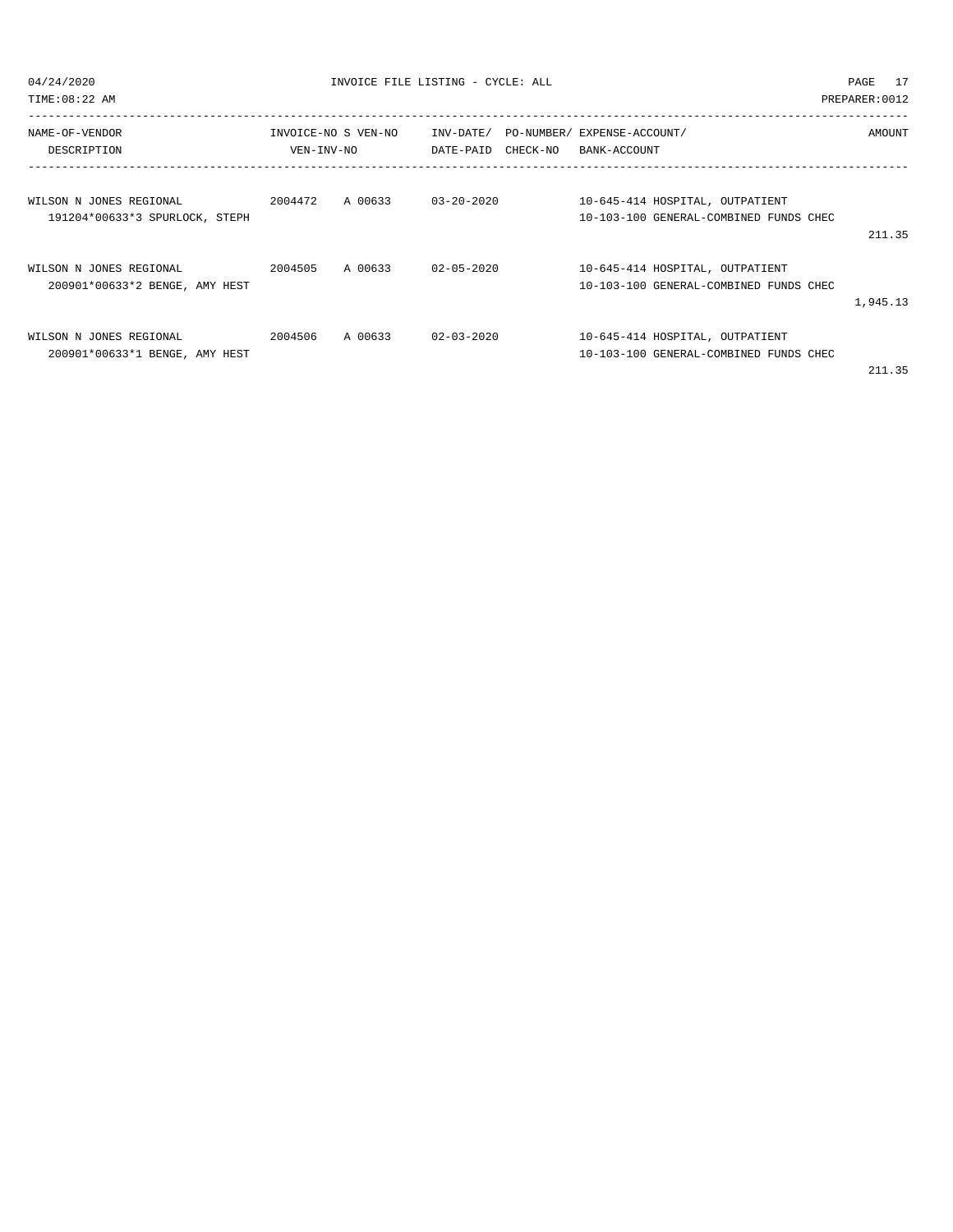| 04/24/2020<br>TIME: 08:22 AM                                         |            | INVOICE FILE LISTING - CYCLE: ALL |                  |                                                                           | PAGE 17<br>PREPARER: 0012 |
|----------------------------------------------------------------------|------------|-----------------------------------|------------------|---------------------------------------------------------------------------|---------------------------|
| NAME-OF-VENDOR<br>DESCRIPTION                                        | VEN-INV-NO | INVOICE-NO S VEN-NO               |                  | INV-DATE/ PO-NUMBER/ EXPENSE-ACCOUNT/<br>DATE-PAID CHECK-NO BANK-ACCOUNT  | AMOUNT                    |
| WILSON N JONES REGIONAL<br>191204*00633*3 SPURLOCK, STEPH            |            | $2004472$ A 00633 03-20-2020      |                  | 10-645-414 HOSPITAL, OUTPATIENT<br>10-103-100 GENERAL-COMBINED FUNDS CHEC | 211.35                    |
| WILSON N JONES REGIONAL<br>200901*00633*2 BENGE, AMY HEST            |            | 2004505 A 00633 02-05-2020        |                  | 10-645-414 HOSPITAL, OUTPATIENT<br>10-103-100 GENERAL-COMBINED FUNDS CHEC | 1,945.13                  |
| 2004506<br>WILSON N JONES REGIONAL<br>200901*00633*1 BENGE, AMY HEST |            | A 00633                           | $02 - 03 - 2020$ | 10-645-414 HOSPITAL, OUTPATIENT<br>10-103-100 GENERAL-COMBINED FUNDS CHEC |                           |